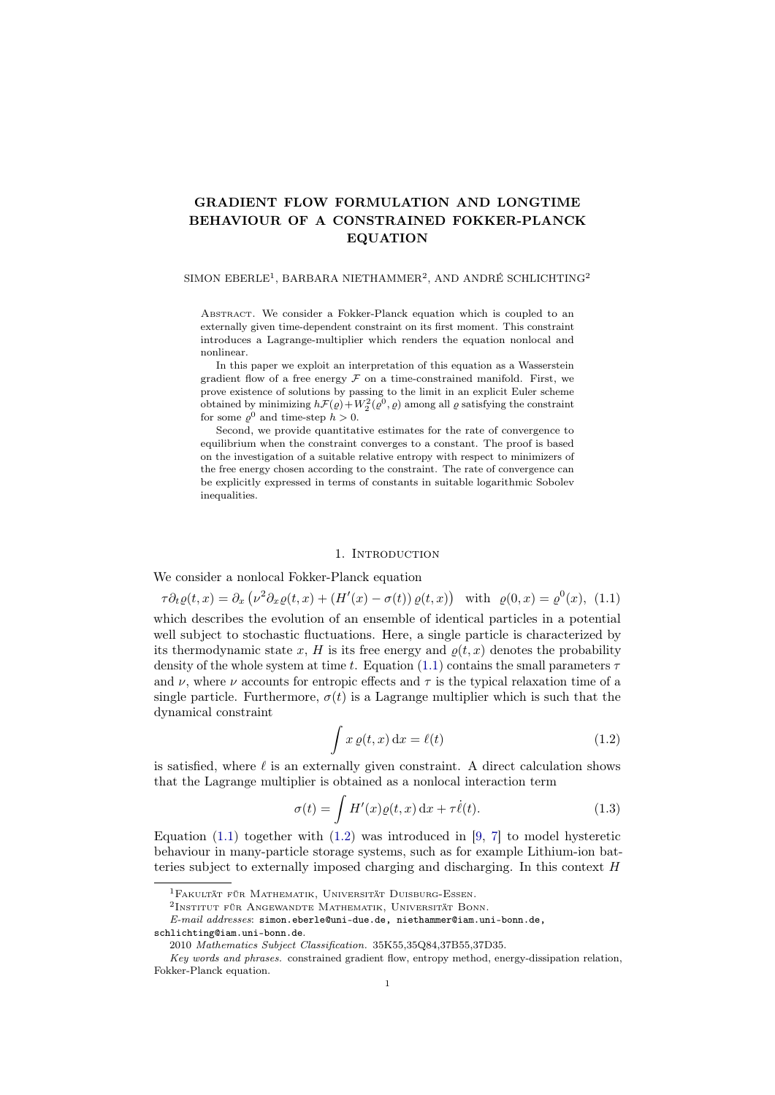# GRADIENT FLOW FORMULATION AND LONGTIME BEHAVIOUR OF A CONSTRAINED FOKKER-PLANCK EQUATION

#### SIMON EBERLE<sup>1</sup>, BARBARA NIETHAMMER<sup>2</sup>, AND ANDRÉ SCHLICHTING<sup>2</sup>

Abstract. We consider a Fokker-Planck equation which is coupled to an externally given time-dependent constraint on its first moment. This constraint introduces a Lagrange-multiplier which renders the equation nonlocal and nonlinear.

In this paper we exploit an interpretation of this equation as a Wasserstein gradient flow of a free energy  $\mathcal F$  on a time-constrained manifold. First, we prove existence of solutions by passing to the limit in an explicit Euler scheme obtained by minimizing  $h\mathcal{F}(\varrho) + W_2^2(\varrho^0, \varrho)$  among all  $\varrho$  satisfying the constraint for some  $\varrho^0$  and time-step  $h > 0$ .

Second, we provide quantitative estimates for the rate of convergence to equilibrium when the constraint converges to a constant. The proof is based on the investigation of a suitable relative entropy with respect to minimizers of the free energy chosen according to the constraint. The rate of convergence can be explicitly expressed in terms of constants in suitable logarithmic Sobolev inequalities.

#### <span id="page-0-0"></span>1. INTRODUCTION

We consider a nonlocal Fokker-Planck equation

$$
\tau \partial_t \varrho(t,x) = \partial_x \left( \nu^2 \partial_x \varrho(t,x) + (H'(x) - \sigma(t)) \varrho(t,x) \right)
$$
 with  $\varrho(0,x) = \varrho^0(x)$ , (1.1) which describes the evolution of an ensemble of identical particles in a potential well subject to stochastic fluctuations. Here, a single particle is characterized by its thermodynamic state x, H is its free energy and  $\varrho(t,x)$  denotes the probability density of the whole system at time t. Equation (1.1) contains the small parameters  $\tau$  and  $\nu$ , where  $\nu$  accounts for entropic effects and  $\tau$  is the typical relaxation time of a single particle. Furthermore,  $\sigma(t)$  is a Lagrange multiplier which is such that the dynamical constraint

<span id="page-0-2"></span><span id="page-0-1"></span>
$$
\int x \, \varrho(t, x) \, \mathrm{d}x = \ell(t) \tag{1.2}
$$

is satisfied, where  $\ell$  is an externally given constraint. A direct calculation shows that the Lagrange multiplier is obtained as a nonlocal interaction term

$$
\sigma(t) = \int H'(x)\varrho(t,x) dx + \tau \dot{\ell}(t). \tag{1.3}
$$

Equation  $(1.1)$  together with  $(1.2)$  was introduced in [\[9,](#page-24-0) [7\]](#page-24-1) to model hysteretic behaviour in many-particle storage systems, such as for example Lithium-ion batteries subject to externally imposed charging and discharging. In this context H

<sup>1</sup>Fakultät für Mathematik, Universität Duisburg-Essen.

<sup>&</sup>lt;sup>2</sup>Institut für Angewandte Mathematik, Universität Bonn.

E-mail addresses: simon.eberle@uni-due.de, niethammer@iam.uni-bonn.de,

schlichting@iam.uni-bonn.de.

<sup>2010</sup> Mathematics Subject Classification. 35K55,35Q84,37B55,37D35.

Key words and phrases. constrained gradient flow, entropy method, energy-dissipation relation, Fokker-Planck equation.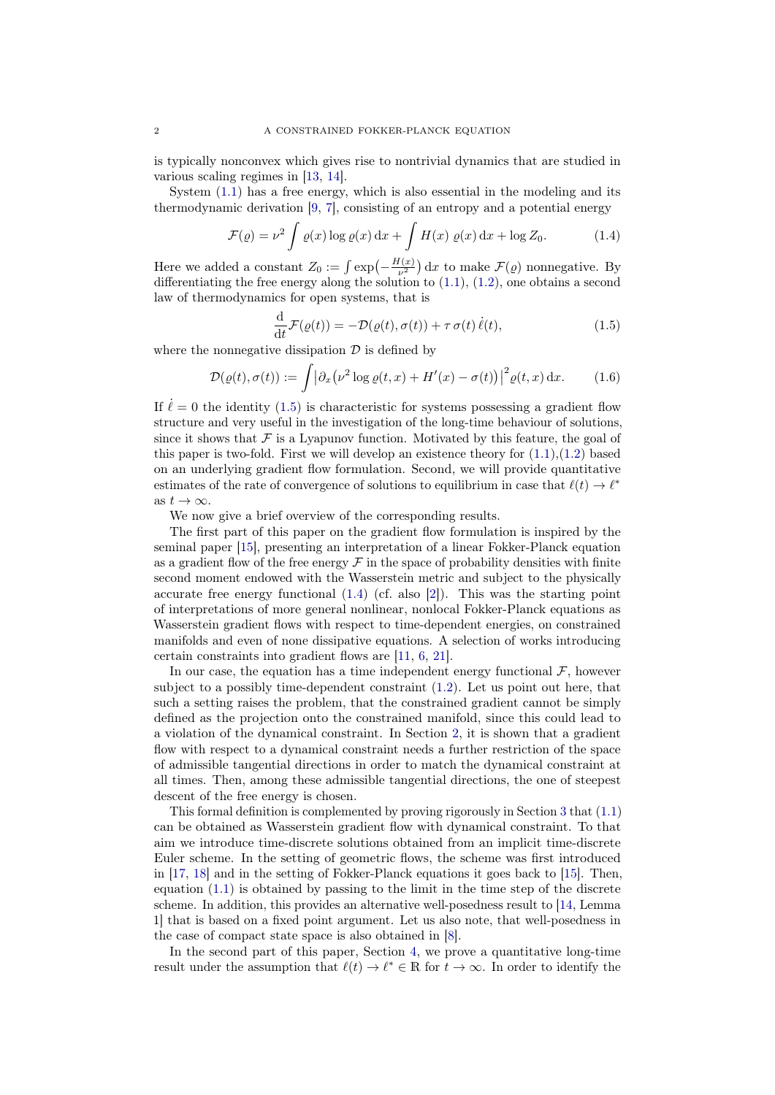is typically nonconvex which gives rise to nontrivial dynamics that are studied in various scaling regimes in [\[13,](#page-24-2) [14\]](#page-24-3).

System [\(1.1\)](#page-0-0) has a free energy, which is also essential in the modeling and its thermodynamic derivation [\[9,](#page-24-0) [7\]](#page-24-1), consisting of an entropy and a potential energy

$$
\mathcal{F}(\varrho) = \nu^2 \int \varrho(x) \log \varrho(x) dx + \int H(x) \varrho(x) dx + \log Z_0.
$$
 (1.4)

Here we added a constant  $Z_0 := \int \exp\left(-\frac{H(x)}{\nu^2}\right) dx$  to make  $\mathcal{F}(\varrho)$  nonnegative. By differentiating the free energy along the solution to  $(1.1)$ ,  $(1.2)$ , one obtains a second law of thermodynamics for open systems, that is

<span id="page-1-2"></span><span id="page-1-1"></span><span id="page-1-0"></span>
$$
\frac{\mathrm{d}}{\mathrm{d}t}\mathcal{F}(\varrho(t)) = -\mathcal{D}(\varrho(t), \sigma(t)) + \tau \,\sigma(t)\,\dot{\ell}(t),\tag{1.5}
$$

where the nonnegative dissipation  $\mathcal D$  is defined by

$$
\mathcal{D}(\varrho(t), \sigma(t)) := \int |\partial_x (\nu^2 \log \varrho(t, x) + H'(x) - \sigma(t))|^2 \varrho(t, x) \, \mathrm{d}x. \tag{1.6}
$$

If  $\ell = 0$  the identity [\(1.5\)](#page-1-0) is characteristic for systems possessing a gradient flow structure and very useful in the investigation of the long-time behaviour of solutions, since it shows that  $\mathcal F$  is a Lyapunov function. Motivated by this feature, the goal of this paper is two-fold. First we will develop an existence theory for  $(1.1),(1.2)$  $(1.1),(1.2)$  $(1.1),(1.2)$  based on an underlying gradient flow formulation. Second, we will provide quantitative estimates of the rate of convergence of solutions to equilibrium in case that  $\ell(t) \to \ell^*$ as  $t \to \infty$ .

We now give a brief overview of the corresponding results.

The first part of this paper on the gradient flow formulation is inspired by the seminal paper [\[15\]](#page-24-4), presenting an interpretation of a linear Fokker-Planck equation as a gradient flow of the free energy  $\mathcal F$  in the space of probability densities with finite second moment endowed with the Wasserstein metric and subject to the physically accurate free energy functional  $(1.4)$  (cf. also [\[2\]](#page-23-0)). This was the starting point of interpretations of more general nonlinear, nonlocal Fokker-Planck equations as Wasserstein gradient flows with respect to time-dependent energies, on constrained manifolds and even of none dissipative equations. A selection of works introducing certain constraints into gradient flows are [\[11,](#page-24-5) [6,](#page-24-6) [21\]](#page-24-7).

In our case, the equation has a time independent energy functional  $\mathcal{F}$ , however subject to a possibly time-dependent constraint [\(1.2\)](#page-0-1). Let us point out here, that such a setting raises the problem, that the constrained gradient cannot be simply defined as the projection onto the constrained manifold, since this could lead to a violation of the dynamical constraint. In Section [2,](#page-2-0) it is shown that a gradient flow with respect to a dynamical constraint needs a further restriction of the space of admissible tangential directions in order to match the dynamical constraint at all times. Then, among these admissible tangential directions, the one of steepest descent of the free energy is chosen.

This formal definition is complemented by proving rigorously in Section [3](#page-5-0) that [\(1.1\)](#page-0-0) can be obtained as Wasserstein gradient flow with dynamical constraint. To that aim we introduce time-discrete solutions obtained from an implicit time-discrete Euler scheme. In the setting of geometric flows, the scheme was first introduced in [\[17,](#page-24-8) [18\]](#page-24-9) and in the setting of Fokker-Planck equations it goes back to [\[15\]](#page-24-4). Then, equation [\(1.1\)](#page-0-0) is obtained by passing to the limit in the time step of the discrete scheme. In addition, this provides an alternative well-posedness result to [\[14,](#page-24-3) Lemma 1] that is based on a fixed point argument. Let us also note, that well-posedness in the case of compact state space is also obtained in [\[8\]](#page-24-10).

In the second part of this paper, Section [4,](#page-15-0) we prove a quantitative long-time result under the assumption that  $\ell(t) \to \ell^* \in \mathbb{R}$  for  $t \to \infty$ . In order to identify the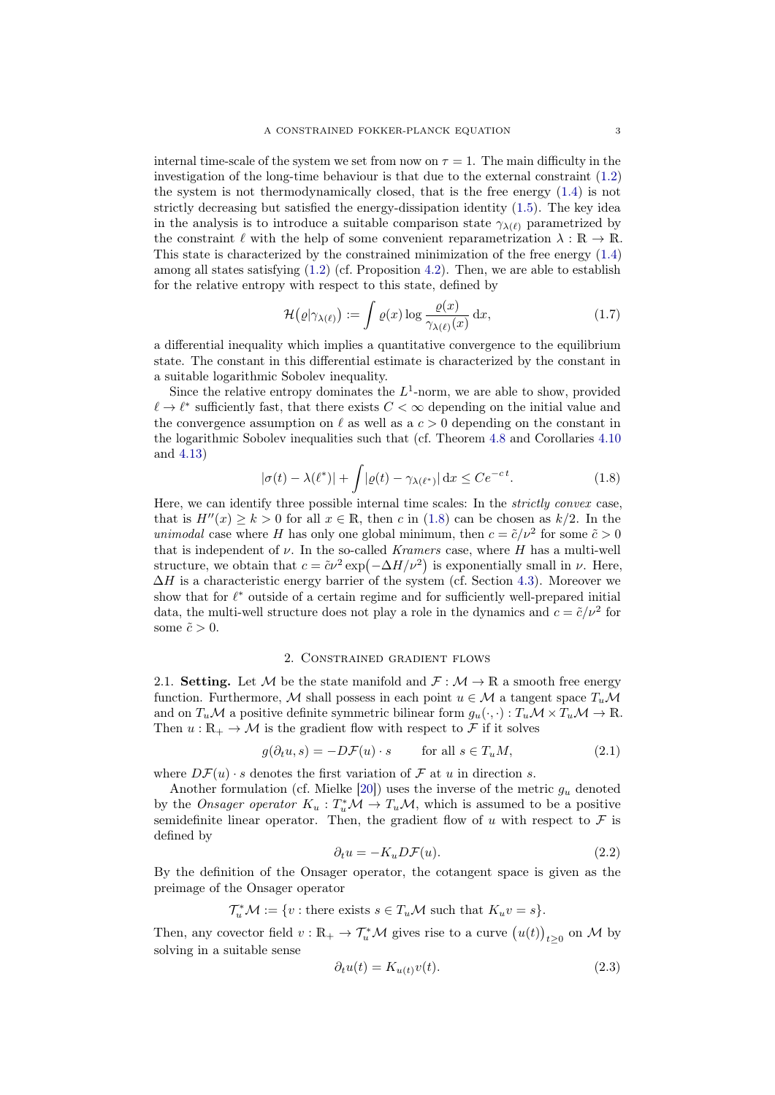internal time-scale of the system we set from now on  $\tau = 1$ . The main difficulty in the investigation of the long-time behaviour is that due to the external constraint [\(1.2\)](#page-0-1) the system is not thermodynamically closed, that is the free energy [\(1.4\)](#page-1-1) is not strictly decreasing but satisfied the energy-dissipation identity [\(1.5\)](#page-1-0). The key idea in the analysis is to introduce a suitable comparison state  $\gamma_{\lambda(\ell)}$  parametrized by the constraint  $\ell$  with the help of some convenient reparametrization  $\lambda : \mathbb{R} \to \mathbb{R}$ . This state is characterized by the constrained minimization of the free energy [\(1.4\)](#page-1-1) among all states satisfying  $(1.2)$  (cf. Proposition [4.2\)](#page-15-1). Then, we are able to establish for the relative entropy with respect to this state, defined by

<span id="page-2-5"></span>
$$
\mathcal{H}(\varrho|\gamma_{\lambda(\ell)}) := \int \varrho(x) \log \frac{\varrho(x)}{\gamma_{\lambda(\ell)}(x)} dx, \tag{1.7}
$$

a differential inequality which implies a quantitative convergence to the equilibrium state. The constant in this differential estimate is characterized by the constant in a suitable logarithmic Sobolev inequality.

Since the relative entropy dominates the  $L^1$ -norm, we are able to show, provided  $\ell \to \ell^*$  sufficiently fast, that there exists  $C < \infty$  depending on the initial value and the convergence assumption on  $\ell$  as well as a  $c > 0$  depending on the constant in the logarithmic Sobolev inequalities such that (cf. Theorem [4.8](#page-19-0) and Corollaries [4.10](#page-20-0) and [4.13\)](#page-21-0)

<span id="page-2-1"></span>
$$
|\sigma(t) - \lambda(\ell^*)| + \int |\varrho(t) - \gamma_{\lambda(\ell^*)}| \, dx \le Ce^{-ct}.
$$
 (1.8)

Here, we can identify three possible internal time scales: In the *strictly convex* case, that is  $H''(x) \ge k > 0$  for all  $x \in \mathbb{R}$ , then c in [\(1.8\)](#page-2-1) can be chosen as  $k/2$ . In the *unimodal* case where H has only one global minimum, then  $c = \tilde{c}/v^2$  for some  $\tilde{c} > 0$ that is independent of  $\nu$ . In the so-called *Kramers* case, where H has a multi-well structure, we obtain that  $c = \tilde{c}\nu^2 \exp(-\Delta H/\nu^2)$  is exponentially small in  $\nu$ . Here,  $\Delta H$  is a characteristic energy barrier of the system (cf. Section [4.3\)](#page-22-0). Moreover we show that for  $\ell^*$  outside of a certain regime and for sufficiently well-prepared initial data, the multi-well structure does not play a role in the dynamics and  $c = \tilde{c}/\nu^2$  for some  $\tilde{c} > 0$ .

#### 2. Constrained gradient flows

<span id="page-2-0"></span>2.1. Setting. Let M be the state manifold and  $\mathcal{F} : \mathcal{M} \to \mathbb{R}$  a smooth free energy function. Furthermore, M shall possess in each point  $u \in \mathcal{M}$  a tangent space  $T_u \mathcal{M}$ and on  $T_u\mathcal{M}$  a positive definite symmetric bilinear form  $g_u(\cdot, \cdot): T_u\mathcal{M} \times T_u\mathcal{M} \to \mathbb{R}$ . Then  $u : \mathbb{R}_+ \to \mathcal{M}$  is the gradient flow with respect to F if it solves

$$
g(\partial_t u, s) = -D\mathcal{F}(u) \cdot s \qquad \text{for all } s \in T_u M,
$$
\n(2.1)

where  $D\mathcal{F}(u) \cdot s$  denotes the first variation of  $\mathcal F$  at u in direction s.

Another formulation (cf. Mielke  $[20]$ ) uses the inverse of the metric  $g_u$  denoted by the *Onsager operator*  $K_u : T_u^* \mathcal{M} \to T_u \mathcal{M}$ , which is assumed to be a positive semidefinite linear operator. Then, the gradient flow of u with respect to  $\mathcal F$  is defined by

<span id="page-2-4"></span><span id="page-2-3"></span>
$$
\partial_t u = -K_u D \mathcal{F}(u). \tag{2.2}
$$

By the definition of the Onsager operator, the cotangent space is given as the preimage of the Onsager operator

 $\mathcal{T}_u^* \mathcal{M} := \{ v : \text{there exists } s \in T_u \mathcal{M} \text{ such that } K_u v = s \}.$ 

Then, any covector field  $v : \mathbb{R}_+ \to \mathcal{T}_u^* \mathcal{M}$  gives rise to a curve  $(u(t))_{t \geq 0}$  on  $\mathcal M$  by solving in a suitable sense

<span id="page-2-2"></span>
$$
\partial_t u(t) = K_{u(t)} v(t). \tag{2.3}
$$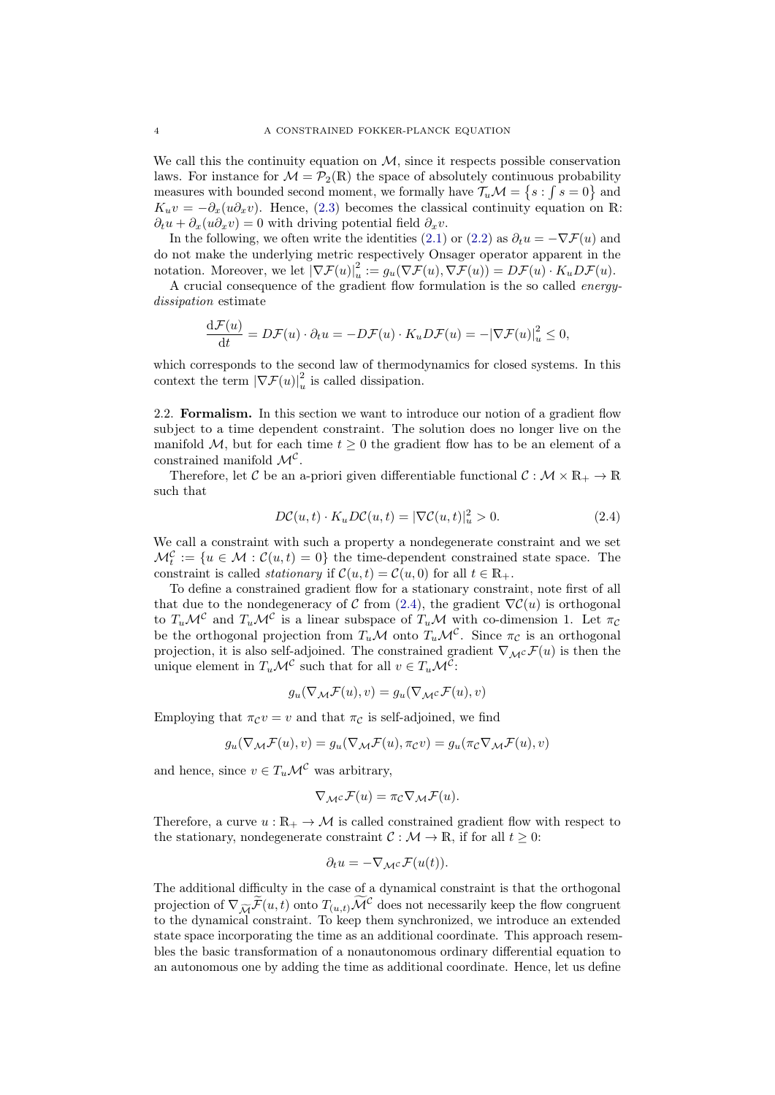We call this the continuity equation on  $M$ , since it respects possible conservation laws. For instance for  $\mathcal{M} = \mathcal{P}_2(\mathbb{R})$  the space of absolutely continuous probability measures with bounded second moment, we formally have  $\mathcal{T}_u \mathcal{M} = \{s : \int s = 0\}$  and  $K_u v = -\partial_x(u\partial_x v)$ . Hence, [\(2.3\)](#page-2-2) becomes the classical continuity equation on R:  $\partial_t u + \partial_x(u\partial_x v) = 0$  with driving potential field  $\partial_x v$ .

In the following, we often write the identities [\(2.1\)](#page-2-3) or [\(2.2\)](#page-2-4) as  $\partial_t u = -\nabla \mathcal{F}(u)$  and do not make the underlying metric respectively Onsager operator apparent in the notation. Moreover, we let  $|\nabla \mathcal{F}(u)|_u^2 := g_u(\nabla \mathcal{F}(u), \nabla \mathcal{F}(u)) = D\mathcal{F}(u) \cdot K_u D\mathcal{F}(u)$ .

A crucial consequence of the gradient flow formulation is the so called energydissipation estimate

$$
\frac{\mathrm{d}\mathcal{F}(u)}{\mathrm{d}t} = D\mathcal{F}(u) \cdot \partial_t u = -D\mathcal{F}(u) \cdot K_u D\mathcal{F}(u) = -|\nabla \mathcal{F}(u)|_u^2 \le 0,
$$

which corresponds to the second law of thermodynamics for closed systems. In this context the term  $|\nabla \mathcal{F}(u)|_u^2$  is called dissipation.

<span id="page-3-1"></span>2.2. Formalism. In this section we want to introduce our notion of a gradient flow subject to a time dependent constraint. The solution does no longer live on the manifold M, but for each time  $t \geq 0$  the gradient flow has to be an element of a constrained manifold  $\mathcal{M}^{\mathcal{C}}$ .

Therefore, let C be an a-priori given differentiable functional  $C : \mathcal{M} \times \mathbb{R}_+ \to \mathbb{R}$ such that

<span id="page-3-0"></span>
$$
D\mathcal{C}(u,t) \cdot K_u D\mathcal{C}(u,t) = |\nabla \mathcal{C}(u,t)|_u^2 > 0.
$$
 (2.4)

We call a constraint with such a property a nondegenerate constraint and we set  $\mathcal{M}_t^{\mathcal{C}} := \{u \in \mathcal{M} : \mathcal{C}(u,t) = 0\}$  the time-dependent constrained state space. The constraint is called *stationary* if  $\mathcal{C}(u,t) = \mathcal{C}(u,0)$  for all  $t \in \mathbb{R}_+$ .

To define a constrained gradient flow for a stationary constraint, note first of all that due to the nondegeneracy of C from [\(2.4\)](#page-3-0), the gradient  $\nabla \mathcal{C}(u)$  is orthogonal to  $T_u\mathcal{M}^{\mathcal{C}}$  and  $T_u\mathcal{M}^{\mathcal{C}}$  is a linear subspace of  $T_u\mathcal{M}$  with co-dimension 1. Let  $\pi_{\mathcal{C}}$ be the orthogonal projection from  $T_u\mathcal{M}$  onto  $T_u\mathcal{M}^{\mathcal{C}}$ . Since  $\pi_{\mathcal{C}}$  is an orthogonal projection, it is also self-adjoined. The constrained gradient  $\nabla_{\mathcal{M}} c \mathcal{F}(u)$  is then the unique element in  $T_u \mathcal{M}^{\mathcal{C}}$  such that for all  $v \in T_u \mathcal{M}^{\mathcal{C}}$ :

$$
g_u(\nabla_{\mathcal{M}}\mathcal{F}(u),v) = g_u(\nabla_{\mathcal{M}}c\mathcal{F}(u),v)
$$

Employing that  $\pi_{\mathcal{C}}v = v$  and that  $\pi_{\mathcal{C}}$  is self-adjoined, we find

$$
g_u(\nabla_{\mathcal{M}}\mathcal{F}(u),v) = g_u(\nabla_{\mathcal{M}}\mathcal{F}(u),\pi_{\mathcal{C}}v) = g_u(\pi_{\mathcal{C}}\nabla_{\mathcal{M}}\mathcal{F}(u),v)
$$

and hence, since  $v \in T_u \mathcal{M}^{\mathcal{C}}$  was arbitrary,

$$
\nabla_{\mathcal{M}} c \mathcal{F}(u) = \pi_{\mathcal{C}} \nabla_{\mathcal{M}} \mathcal{F}(u).
$$

Therefore, a curve  $u : \mathbb{R}_+ \to \mathcal{M}$  is called constrained gradient flow with respect to the stationary, nondegenerate constraint  $\mathcal{C}: \mathcal{M} \to \mathbb{R}$ , if for all  $t \geq 0$ :

$$
\partial_t u = -\nabla_{\mathcal{M}} c \mathcal{F}(u(t)).
$$

The additional difficulty in the case of a dynamical constraint is that the orthogonal projection of  $\nabla_{\widetilde{\mathcal{M}}} \widetilde{\mathcal{F}}(u, t)$  onto  $T_{(u,t)} \widetilde{\mathcal{M}}^{\mathcal{C}}$  does not necessarily keep the flow congruent to the dynamical constraint. To keep them synchronized, we introduce an extended state space incorporating the time as an additional coordinate. This approach resembles the basic transformation of a nonautonomous ordinary differential equation to an autonomous one by adding the time as additional coordinate. Hence, let us define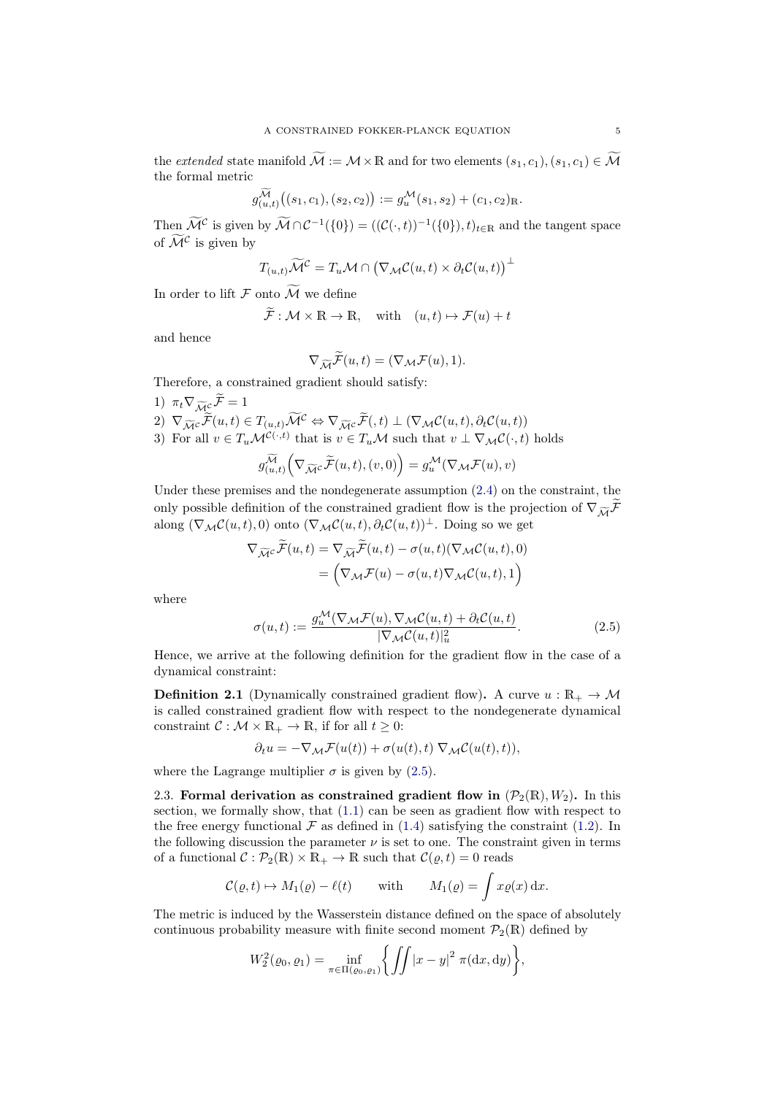the extended state manifold  $\widetilde{\mathcal{M}} := \mathcal{M} \times \mathbb{R}$  and for two elements  $(s_1, c_1), (s_1, c_1) \in \widetilde{\mathcal{M}}$ the formal metric

$$
g_{(u,t)}^{\widetilde{\mathcal{M}}}(s_1,c_1),(s_2,c_2)) := g_u^{\mathcal{M}}(s_1,s_2) + (c_1,c_2)_{\mathbb{R}}.
$$

Then  $\widetilde{\mathcal{M}}^{\mathcal{C}}$  is given by  $\widetilde{\mathcal{M}} \cap \mathcal{C}^{-1}(\{0\}) = ((\mathcal{C}(\cdot,t))^{-1}(\{0\}),t)_{t \in \mathbb{R}}$  and the tangent space of  $\widetilde{\mathcal{M}}^{\mathcal{C}}$  is given by

$$
T_{(u,t)}\widetilde{\mathcal{M}}^{\mathcal{C}} = T_u \mathcal{M} \cap (\nabla_{\mathcal{M}} \mathcal{C}(u,t) \times \partial_t \mathcal{C}(u,t))^\perp
$$

In order to lift  $\mathcal F$  onto  $\widetilde{\mathcal M}$  we define<br> $\widetilde{\mathcal F}: M \times \mathbb{R} \to \mathbb{R}$ 

$$
\widetilde{\mathcal{F}} : \mathcal{M} \times \mathbb{R} \to \mathbb{R}, \text{ with } (u, t) \mapsto \mathcal{F}(u) + t
$$

and hence

$$
\nabla_{\widetilde{\mathcal{M}}} \widetilde{\mathcal{F}}(u,t) = (\nabla_{\mathcal{M}} \mathcal{F}(u), 1).
$$

Therefore, a constrained gradient should satisfy:

1)  $\pi_t \nabla_{\widetilde{M}^c} \widetilde{\mathcal{F}} = 1$  $2) \nabla_{\widetilde{\mathcal{M}}^c} \widetilde{\mathcal{F}}(u, t) \in T_{(u, t)} \widetilde{\mathcal{M}}^c \Leftrightarrow \nabla_{\widetilde{\mathcal{M}}^c} \widetilde{\mathcal{F}}(, t) \perp (\nabla_{\mathcal{M}} \mathcal{C}(u, t), \partial_t \mathcal{C}(u, t))$ 3) For all  $v \in T_u\mathcal{M}^{\mathcal{C}(\cdot,t)}$  that is  $v \in T_u\mathcal{M}$  such that  $v \perp \nabla_{\mathcal{M}}\mathcal{C}(\cdot,t)$  holds  $g_{(u,t)}^{\widetilde{\mathcal{M}}} \Big(\nabla_{\widetilde{\mathcal{M}}^{\mathcal{C}}} \widetilde{\mathcal{F}}(u,t), (v,0) \Big) = g_u^{\mathcal{M}}(\nabla_{\mathcal{M}} \mathcal{F}(u), v)$ 

Under these premises and the nondegenerate assumption (2.4) on the constraint, the  
only possible definition of the constrained gradient flow is the projection of 
$$
\nabla_{\widetilde{\mathcal{M}}}\widetilde{\mathcal{F}}
$$

only possible definition of the constrained gradient flow is the projection of 
$$
\nabla_{\widetilde{\mathcal{M}}} \mathcal{F}
$$
  
along  $(\nabla_{\mathcal{M}} C(u, t), 0)$  onto  $(\nabla_{\mathcal{M}} C(u, t), \partial_t C(u, t))^{\perp}$ . Doing so we get

$$
\nabla_{\widetilde{\mathcal{M}}^c} \mathcal{F}(u, t) = \nabla_{\widetilde{\mathcal{M}}} \mathcal{F}(u, t) - \sigma(u, t) (\nabla_{\mathcal{M}} \mathcal{C}(u, t), 0)
$$

$$
= (\nabla_{\mathcal{M}} \mathcal{F}(u) - \sigma(u, t) \nabla_{\mathcal{M}} \mathcal{C}(u, t), 1)
$$

where

<span id="page-4-0"></span>
$$
\sigma(u,t) := \frac{g_u^{\mathcal{M}}(\nabla_{\mathcal{M}}\mathcal{F}(u), \nabla_{\mathcal{M}}\mathcal{C}(u,t) + \partial_t \mathcal{C}(u,t))}{|\nabla_{\mathcal{M}}\mathcal{C}(u,t)|_u^2}.
$$
\n(2.5)

Hence, we arrive at the following definition for the gradient flow in the case of a dynamical constraint:

<span id="page-4-1"></span>**Definition 2.1** (Dynamically constrained gradient flow). A curve  $u : \mathbb{R}_+ \to \mathcal{M}$ is called constrained gradient flow with respect to the nondegenerate dynamical constraint  $C : \mathcal{M} \times \mathbb{R}_+ \to \mathbb{R}$ , if for all  $t \geq 0$ :

$$
\partial_t u = -\nabla_{\mathcal{M}} \mathcal{F}(u(t)) + \sigma(u(t), t) \nabla_{\mathcal{M}} \mathcal{C}(u(t), t)),
$$

where the Lagrange multiplier  $\sigma$  is given by [\(2.5\)](#page-4-0).

<span id="page-4-2"></span>2.3. Formal derivation as constrained gradient flow in  $(\mathcal{P}_2(\mathbb{R}), W_2)$ . In this section, we formally show, that [\(1.1\)](#page-0-0) can be seen as gradient flow with respect to the free energy functional  $\mathcal F$  as defined in [\(1.4\)](#page-1-1) satisfying the constraint [\(1.2\)](#page-0-1). In the following discussion the parameter  $\nu$  is set to one. The constraint given in terms of a functional  $C : \mathcal{P}_2(\mathbb{R}) \times \mathbb{R}_+ \to \mathbb{R}$  such that  $\mathcal{C}(\varrho, t) = 0$  reads

$$
C(\varrho, t) \mapsto M_1(\varrho) - \ell(t)
$$
 with  $M_1(\varrho) = \int x \varrho(x) dx$ .

The metric is induced by the Wasserstein distance defined on the space of absolutely continuous probability measure with finite second moment  $\mathcal{P}_2(\mathbb{R})$  defined by

$$
W_2^2(\varrho_0, \varrho_1) = \inf_{\pi \in \Pi(\varrho_0, \varrho_1)} \left\{ \iint |x - y|^2 \ \pi(\mathrm{d}x, \mathrm{d}y) \right\},\,
$$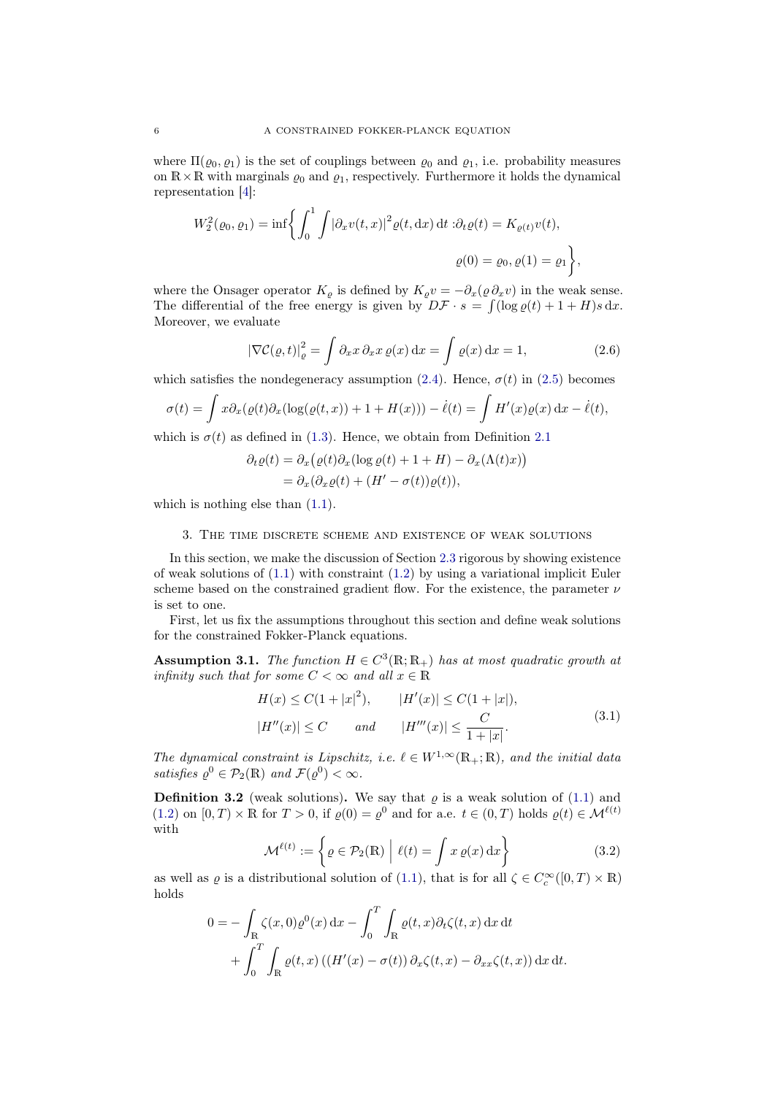where  $\Pi(\varrho_0, \varrho_1)$  is the set of couplings between  $\varrho_0$  and  $\varrho_1$ , i.e. probability measures on  $\mathbb{R} \times \mathbb{R}$  with marginals  $\varrho_0$  and  $\varrho_1$ , respectively. Furthermore it holds the dynamical representation [\[4\]](#page-23-1):

$$
W_2^2(\varrho_0, \varrho_1) = \inf \left\{ \int_0^1 \int |\partial_x v(t, x)|^2 \varrho(t, dx) dt : \partial_t \varrho(t) = K_{\varrho(t)} v(t), \right\}
$$
  

$$
\varrho(0) = \varrho_0, \varrho(1) = \varrho_1 \left\},
$$

where the Onsager operator  $K_{\rho}$  is defined by  $K_{\rho}v = -\partial_x(\rho \partial_x v)$  in the weak sense. The differential of the free energy is given by  $D\mathcal{F} \cdot s = \int (\log \varrho(t) + 1 + H)s \, dx$ . Moreover, we evaluate

<span id="page-5-4"></span>
$$
\left|\nabla \mathcal{C}(\varrho, t)\right|_{\varrho}^{2} = \int \partial_{x} x \, \partial_{x} x \, \varrho(x) \, \mathrm{d}x = \int \varrho(x) \, \mathrm{d}x = 1,\tag{2.6}
$$

which satisfies the nondegeneracy assumption [\(2.4\)](#page-3-0). Hence,  $\sigma(t)$  in [\(2.5\)](#page-4-0) becomes

$$
\sigma(t) = \int x \partial_x (\varrho(t) \partial_x (\log(\varrho(t,x)) + 1 + H(x))) - \dot{\ell}(t) = \int H'(x) \varrho(x) dx - \dot{\ell}(t),
$$

which is  $\sigma(t)$  as defined in [\(1.3\)](#page-0-2). Hence, we obtain from Definition [2.1](#page-4-1)

$$
\partial_t \varrho(t) = \partial_x (\varrho(t) \partial_x (\log \varrho(t) + 1 + H) - \partial_x (\Lambda(t)x))
$$
  
= 
$$
\partial_x (\partial_x \varrho(t) + (H' - \sigma(t))\varrho(t)),
$$

which is nothing else than  $(1.1)$ .

## 3. The time discrete scheme and existence of weak solutions

<span id="page-5-0"></span>In this section, we make the discussion of Section [2.3](#page-4-2) rigorous by showing existence of weak solutions of [\(1.1\)](#page-0-0) with constraint [\(1.2\)](#page-0-1) by using a variational implicit Euler scheme based on the constrained gradient flow. For the existence, the parameter  $\nu$ is set to one.

First, let us fix the assumptions throughout this section and define weak solutions for the constrained Fokker-Planck equations.

<span id="page-5-1"></span>**Assumption 3.1.** The function  $H \in C^3(\mathbb{R}; \mathbb{R}_+)$  has at most quadratic growth at infinity such that for some  $C < \infty$  and all  $x \in \mathbb{R}$ 

<span id="page-5-2"></span>
$$
H(x) \le C(1+|x|^2), \qquad |H'(x)| \le C(1+|x|),
$$
  

$$
|H''(x)| \le C \qquad and \qquad |H'''(x)| \le \frac{C}{1+|x|}.
$$
 (3.1)

The dynamical constraint is Lipschitz, i.e.  $\ell \in W^{1,\infty}(\mathbb{R}_+;\mathbb{R})$ , and the initial data satisfies  $\varrho^0 \in \mathcal{P}_2(\mathbb{R})$  and  $\mathcal{F}(\varrho^0) < \infty$ .

<span id="page-5-3"></span>**Definition 3.2** (weak solutions). We say that  $\varrho$  is a weak solution of [\(1.1\)](#page-0-0) and [\(1.2\)](#page-0-1) on  $[0, T) \times \mathbb{R}$  for  $T > 0$ , if  $\varrho(0) = \varrho^0$  and for a.e.  $t \in (0, T)$  holds  $\varrho(t) \in \mathcal{M}^{\ell(t)}$ with

<span id="page-5-5"></span>
$$
\mathcal{M}^{\ell(t)} := \left\{ \varrho \in \mathcal{P}_2(\mathbb{R}) \middle| \ell(t) = \int x \, \varrho(x) \, dx \right\} \tag{3.2}
$$

as well as  $\varrho$  is a distributional solution of [\(1.1\)](#page-0-0), that is for all  $\zeta \in C_c^{\infty}([0, T) \times \mathbb{R})$ holds

$$
0 = -\int_{\mathbb{R}} \zeta(x,0)\varrho^{0}(x) dx - \int_{0}^{T} \int_{\mathbb{R}} \varrho(t,x)\partial_{t}\zeta(t,x) dx dt + \int_{0}^{T} \int_{\mathbb{R}} \varrho(t,x) \left( (H'(x) - \sigma(t)) \partial_{x}\zeta(t,x) - \partial_{xx}\zeta(t,x) \right) dx dt.
$$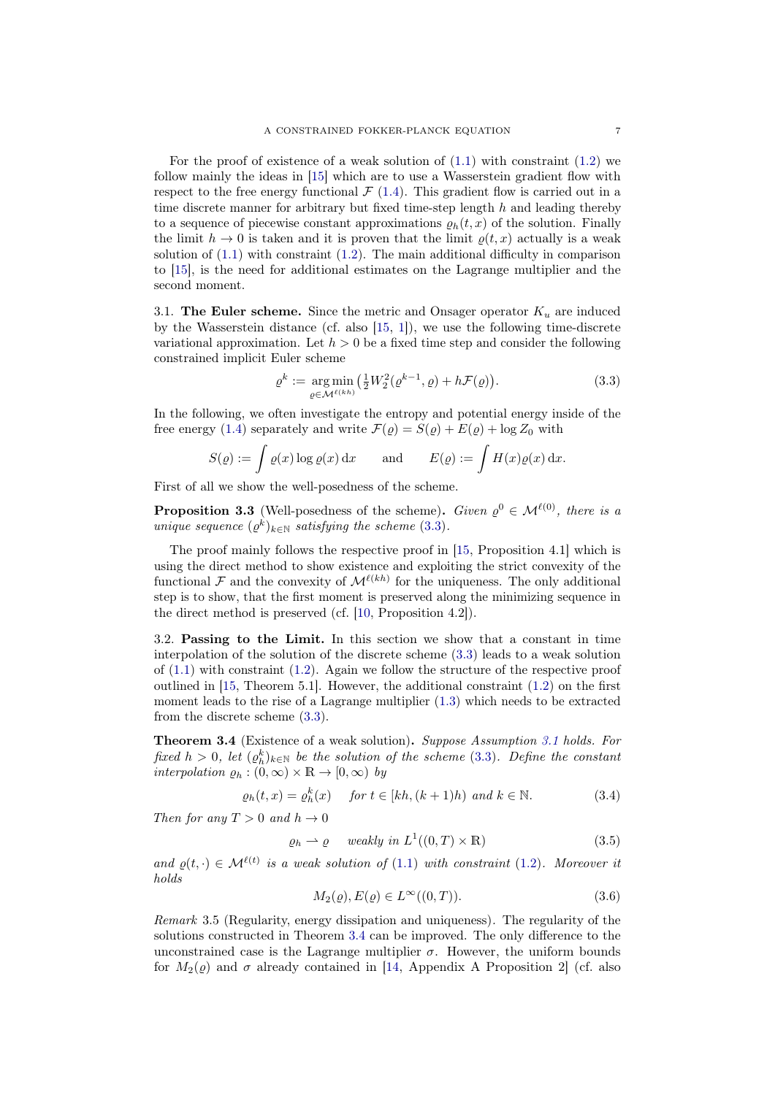For the proof of existence of a weak solution of  $(1.1)$  with constraint  $(1.2)$  we follow mainly the ideas in [\[15\]](#page-24-4) which are to use a Wasserstein gradient flow with respect to the free energy functional  $\mathcal{F}(1.4)$  $\mathcal{F}(1.4)$ . This gradient flow is carried out in a time discrete manner for arbitrary but fixed time-step length  $h$  and leading thereby to a sequence of piecewise constant approximations  $\rho_h(t, x)$  of the solution. Finally the limit  $h \to 0$  is taken and it is proven that the limit  $\rho(t, x)$  actually is a weak solution of [\(1.1\)](#page-0-0) with constraint [\(1.2\)](#page-0-1). The main additional difficulty in comparison to [\[15\]](#page-24-4), is the need for additional estimates on the Lagrange multiplier and the second moment.

3.1. The Euler scheme. Since the metric and Onsager operator  $K_u$  are induced by the Wasserstein distance (cf. also [\[15,](#page-24-4) [1\]](#page-23-2)), we use the following time-discrete variational approximation. Let  $h > 0$  be a fixed time step and consider the following constrained implicit Euler scheme

<span id="page-6-0"></span>
$$
\varrho^k := \underset{\varrho \in \mathcal{M}^{\ell(kh)}}{\arg \min} \left( \frac{1}{2} W_2^2(\varrho^{k-1}, \varrho) + h \mathcal{F}(\varrho) \right). \tag{3.3}
$$

In the following, we often investigate the entropy and potential energy inside of the free energy [\(1.4\)](#page-1-1) separately and write  $\mathcal{F}(\rho) = S(\rho) + E(\rho) + \log Z_0$  with

$$
S(\varrho) := \int \varrho(x) \log \varrho(x) dx \quad \text{and} \quad E(\varrho) := \int H(x) \varrho(x) dx.
$$

First of all we show the well-posedness of the scheme.

<span id="page-6-5"></span>**Proposition 3.3** (Well-posedness of the scheme). Given  $\varrho^0 \in \mathcal{M}^{\ell(0)}$ , there is a unique sequence  $(\varrho^k)_{k \in \mathbb{N}}$  satisfying the scheme [\(3.3\)](#page-6-0).

The proof mainly follows the respective proof in [\[15,](#page-24-4) Proposition 4.1] which is using the direct method to show existence and exploiting the strict convexity of the functional F and the convexity of  $\mathcal{M}^{\ell(kh)}$  for the uniqueness. The only additional step is to show, that the first moment is preserved along the minimizing sequence in the direct method is preserved (cf. [\[10,](#page-24-12) Proposition 4.2]).

3.2. Passing to the Limit. In this section we show that a constant in time interpolation of the solution of the discrete scheme [\(3.3\)](#page-6-0) leads to a weak solution of  $(1.1)$  with constraint  $(1.2)$ . Again we follow the structure of the respective proof outlined in  $[15,$  Theorem 5.1. However, the additional constraint  $(1.2)$  on the first moment leads to the rise of a Lagrange multiplier [\(1.3\)](#page-0-2) which needs to be extracted from the discrete scheme [\(3.3\)](#page-6-0).

<span id="page-6-1"></span>Theorem 3.4 (Existence of a weak solution). Suppose Assumption [3.1](#page-5-1) holds. For fixed  $h > 0$ , let  $(\varrho_h^k)_{k \in \mathbb{N}}$  be the solution of the scheme [\(3.3\)](#page-6-0). Define the constant interpolation  $\varrho_h : (0, \infty) \times \mathbb{R} \to [0, \infty)$  by

$$
\varrho_h(t,x) = \varrho_h^k(x) \quad \text{for } t \in [kh, (k+1)h) \text{ and } k \in \mathbb{N}.
$$
 (3.4)

Then for any  $T > 0$  and  $h \to 0$ 

$$
\varrho_h \rightharpoonup \varrho \quad weakly \ in \ L^1((0,T) \times \mathbb{R}) \tag{3.5}
$$

and  $\rho(t, \cdot) \in \mathcal{M}^{\ell(t)}$  is a weak solution of [\(1.1\)](#page-0-0) with constraint [\(1.2\)](#page-0-1). Moreover it holds

<span id="page-6-4"></span><span id="page-6-3"></span><span id="page-6-2"></span>
$$
M_2(\varrho), E(\varrho) \in L^\infty((0, T)).\tag{3.6}
$$

Remark 3.5 (Regularity, energy dissipation and uniqueness). The regularity of the solutions constructed in Theorem [3.4](#page-6-1) can be improved. The only difference to the unconstrained case is the Lagrange multiplier  $\sigma$ . However, the uniform bounds for  $M_2(\rho)$  and  $\sigma$  already contained in [\[14,](#page-24-3) Appendix A Proposition 2] (cf. also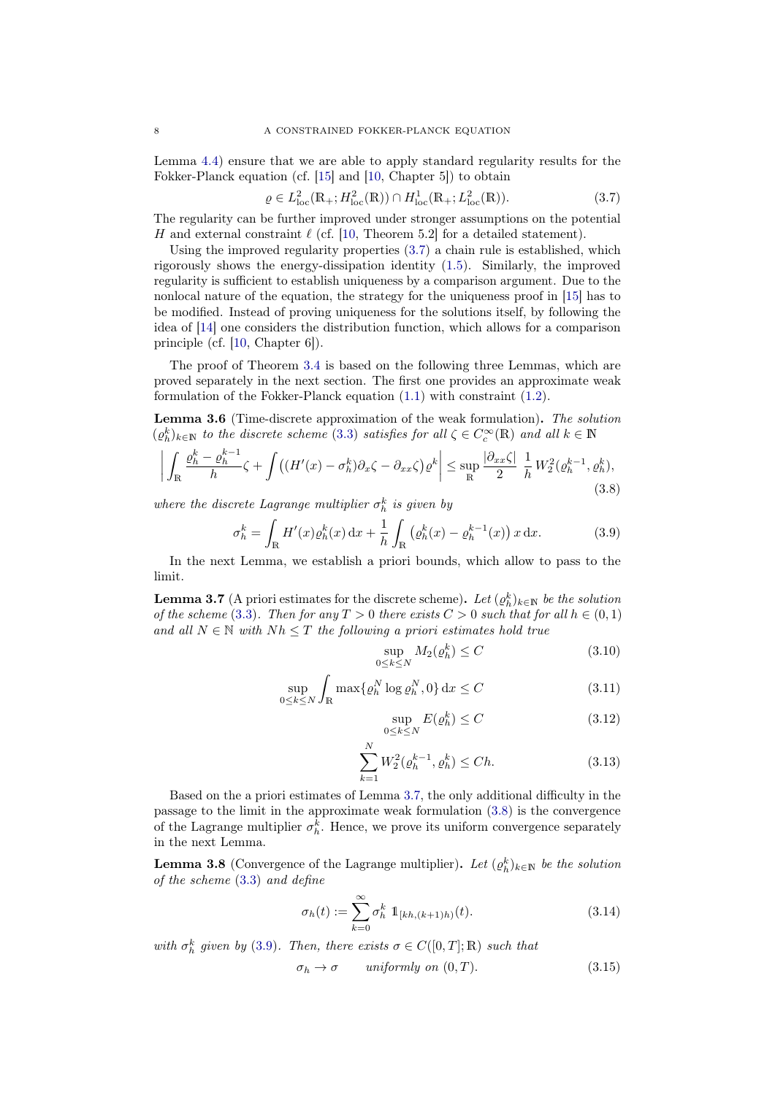Lemma [4.4\)](#page-17-0) ensure that we are able to apply standard regularity results for the Fokker-Planck equation (cf. [\[15\]](#page-24-4) and [\[10,](#page-24-12) Chapter 5]) to obtain

<span id="page-7-0"></span>
$$
\varrho \in L_{\text{loc}}^2(\mathbb{R}_+; H_{\text{loc}}^2(\mathbb{R})) \cap H_{\text{loc}}^1(\mathbb{R}_+; L_{\text{loc}}^2(\mathbb{R})).
$$
\n(3.7)

The regularity can be further improved under stronger assumptions on the potential H and external constraint  $\ell$  (cf. [\[10,](#page-24-12) Theorem 5.2] for a detailed statement).

Using the improved regularity properties [\(3.7\)](#page-7-0) a chain rule is established, which rigorously shows the energy-dissipation identity [\(1.5\)](#page-1-0). Similarly, the improved regularity is sufficient to establish uniqueness by a comparison argument. Due to the nonlocal nature of the equation, the strategy for the uniqueness proof in [\[15\]](#page-24-4) has to be modified. Instead of proving uniqueness for the solutions itself, by following the idea of [\[14\]](#page-24-3) one considers the distribution function, which allows for a comparison principle (cf. [\[10,](#page-24-12) Chapter 6]).

The proof of Theorem [3.4](#page-6-1) is based on the following three Lemmas, which are proved separately in the next section. The first one provides an approximate weak formulation of the Fokker-Planck equation [\(1.1\)](#page-0-0) with constraint [\(1.2\)](#page-0-1).

<span id="page-7-10"></span>Lemma 3.6 (Time-discrete approximation of the weak formulation). The solution  $(\varrho_h^k)_{k\in\mathbb{N}}$  to the discrete scheme [\(3.3\)](#page-6-0) satisfies for all  $\zeta \in C_c^{\infty}(\mathbb{R})$  and all  $k \in \mathbb{N}$ 

$$
\left| \int_{\mathbb{R}} \frac{\varrho_h^k - \varrho_h^{k-1}}{h} \zeta + \int \left( (H'(x) - \sigma_h^k) \partial_x \zeta - \partial_{xx} \zeta \right) \varrho^k \right| \le \sup_{\mathbb{R}} \frac{|\partial_{xx} \zeta|}{2} \frac{1}{h} W_2^2(\varrho_h^{k-1}, \varrho_h^k),\tag{3.8}
$$

where the discrete Lagrange multiplier  $\sigma_h^k$  is given by

$$
\sigma_h^k = \int_{\mathbb{R}} H'(x) \varrho_h^k(x) \, dx + \frac{1}{h} \int_{\mathbb{R}} \left( \varrho_h^k(x) - \varrho_h^{k-1}(x) \right) x \, dx. \tag{3.9}
$$

In the next Lemma, we establish a priori bounds, which allow to pass to the limit.

<span id="page-7-1"></span>**Lemma 3.7** (A priori estimates for the discrete scheme). Let  $(\varrho_h^k)_{k\in\mathbb{N}}$  be the solution of the scheme [\(3.3\)](#page-6-0). Then for any  $T > 0$  there exists  $C > 0$  such that for all  $h \in (0,1)$ and all  $N \in \mathbb{N}$  with  $Nh \leq T$  the following a priori estimates hold true

<span id="page-7-4"></span><span id="page-7-3"></span><span id="page-7-2"></span>
$$
\sup_{0 \le k \le N} M_2(\varrho_h^k) \le C \tag{3.10}
$$

$$
\sup_{0 \le k \le N} \int_{\mathbb{R}} \max \{ \varrho_h^N \log \varrho_h^N, 0 \} \, \mathrm{d}x \le C \tag{3.11}
$$

<span id="page-7-11"></span><span id="page-7-7"></span><span id="page-7-6"></span><span id="page-7-5"></span>
$$
\sup_{0 \le k \le N} E(\varrho_h^k) \le C \tag{3.12}
$$

$$
\sum_{k=1}^{N} W_2^2(\varrho_h^{k-1}, \varrho_h^k) \le Ch. \tag{3.13}
$$

Based on the a priori estimates of Lemma [3.7,](#page-7-1) the only additional difficulty in the passage to the limit in the approximate weak formulation [\(3.8\)](#page-7-2) is the convergence of the Lagrange multiplier  $\sigma_h^k$ . Hence, we prove its uniform convergence separately in the next Lemma.

<span id="page-7-9"></span>**Lemma 3.8** (Convergence of the Lagrange multiplier). Let  $(\varrho_h^k)_{k\in\mathbb{N}}$  be the solution of the scheme [\(3.3\)](#page-6-0) and define

$$
\sigma_h(t) := \sum_{k=0}^{\infty} \sigma_h^k \, \mathbb{1}_{[kh,(k+1)h)}(t). \tag{3.14}
$$

with  $\sigma_h^k$  given by [\(3.9\)](#page-7-3). Then, there exists  $\sigma \in C([0,T];\mathbb{R})$  such that

<span id="page-7-8"></span>
$$
\sigma_h \to \sigma \qquad uniformly \; on \; (0, T). \tag{3.15}
$$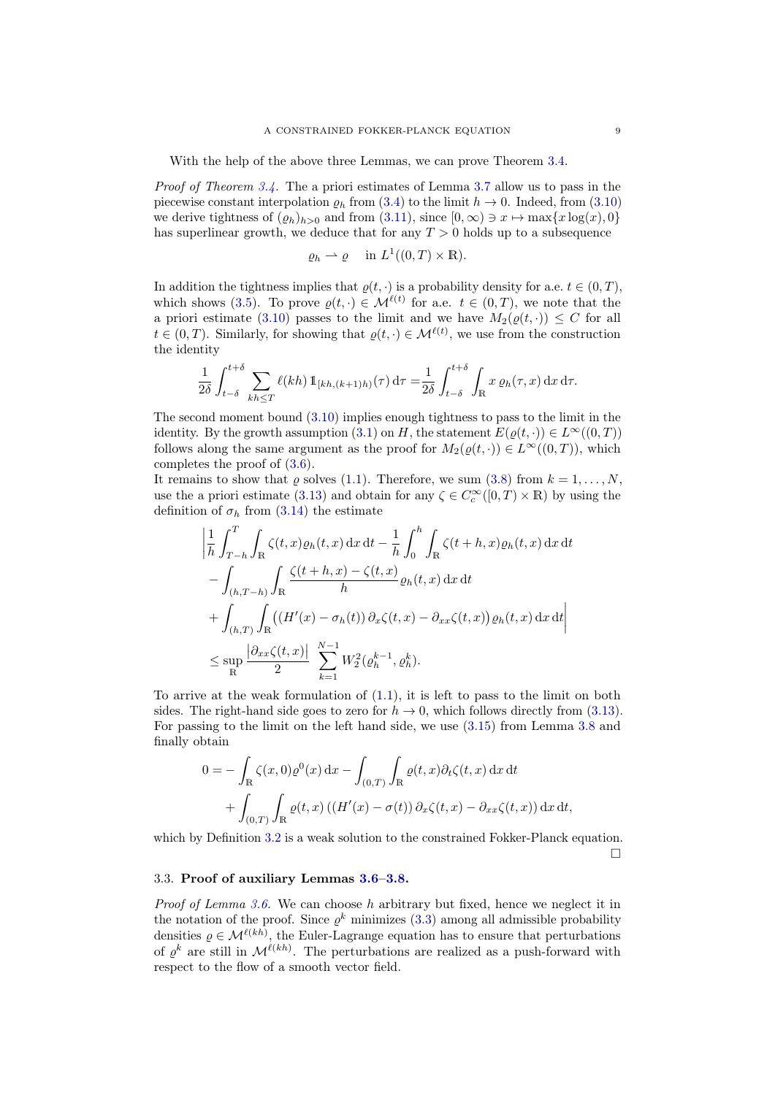With the help of the above three Lemmas, we can prove Theorem [3.4.](#page-6-1)

Proof of Theorem [3.4.](#page-6-1) The a priori estimates of Lemma [3.7](#page-7-1) allow us to pass in the piecewise constant interpolation  $\rho_h$  from [\(3.4\)](#page-6-2) to the limit  $h \to 0$ . Indeed, from [\(3.10\)](#page-7-4) we derive tightness of  $(\varrho_h)_{h>0}$  and from  $(3.11)$ , since  $[0,\infty) \ni x \mapsto \max\{x \log(x), 0\}$ has superlinear growth, we deduce that for any  $T > 0$  holds up to a subsequence

$$
\varrho_h \rightharpoonup \varrho
$$
 in  $L^1((0,T) \times \mathbb{R})$ .

In addition the tightness implies that  $\varrho(t, \cdot)$  is a probability density for a.e.  $t \in (0, T)$ , which shows [\(3.5\)](#page-6-3). To prove  $\rho(t, \cdot) \in \mathcal{M}^{\ell(t)}$  for a.e.  $t \in (0, T)$ , we note that the a priori estimate [\(3.10\)](#page-7-4) passes to the limit and we have  $M_2(\varrho(t, \cdot)) \leq C$  for all  $t \in (0,T)$ . Similarly, for showing that  $\varrho(t, \cdot) \in \mathcal{M}^{\ell(t)}$ , we use from the construction the identity

$$
\frac{1}{2\delta} \int_{t-\delta}^{t+\delta} \sum_{kh \leq T} \ell(kh) \, \mathbb{1}_{[kh,(k+1)h)}(\tau) \, \mathrm{d}\tau = \frac{1}{2\delta} \int_{t-\delta}^{t+\delta} \int_{\mathbb{R}} x \, \varrho_h(\tau,x) \, \mathrm{d}x \, \mathrm{d}\tau.
$$

The second moment bound [\(3.10\)](#page-7-4) implies enough tightness to pass to the limit in the identity. By the growth assumption [\(3.1\)](#page-5-2) on H, the statement  $E(\varrho(t, \cdot)) \in L^{\infty}((0, T))$ follows along the same argument as the proof for  $M_2(\rho(t, \cdot)) \in L^\infty((0,T))$ , which completes the proof of [\(3.6\)](#page-6-4).

It remains to show that  $\rho$  solves [\(1.1\)](#page-0-0). Therefore, we sum [\(3.8\)](#page-7-2) from  $k = 1, \ldots, N$ , use the a priori estimate [\(3.13\)](#page-7-6) and obtain for any  $\zeta \in C_c^{\infty}([0, T) \times \mathbb{R})$  by using the definition of  $\sigma_h$  from [\(3.14\)](#page-7-7) the estimate

$$
\left| \frac{1}{h} \int_{T-h}^{T} \int_{\mathbb{R}} \zeta(t, x) \varrho_h(t, x) dx dt - \frac{1}{h} \int_0^h \int_{\mathbb{R}} \zeta(t + h, x) \varrho_h(t, x) dx dt \right|
$$
  

$$
- \int_{(h, T-h)} \int_{\mathbb{R}} \frac{\zeta(t + h, x) - \zeta(t, x)}{h} \varrho_h(t, x) dx dt
$$
  

$$
+ \int_{(h, T)} \int_{\mathbb{R}} \left( (H'(x) - \sigma_h(t)) \partial_x \zeta(t, x) - \partial_{xx} \zeta(t, x) \right) \varrho_h(t, x) dx dt \right|
$$
  

$$
\leq \sup_{\mathbb{R}} \frac{|\partial_{xx} \zeta(t, x)|}{2} \sum_{k=1}^{N-1} W_2^2(\varrho_h^{k-1}, \varrho_h^k).
$$

To arrive at the weak formulation of [\(1.1\)](#page-0-0), it is left to pass to the limit on both sides. The right-hand side goes to zero for  $h \to 0$ , which follows directly from [\(3.13\)](#page-7-6). For passing to the limit on the left hand side, we use [\(3.15\)](#page-7-8) from Lemma [3.8](#page-7-9) and finally obtain

$$
0 = -\int_{\mathbb{R}} \zeta(x,0)\varrho^{0}(x) dx - \int_{(0,T)} \int_{\mathbb{R}} \varrho(t,x)\partial_{t}\zeta(t,x) dx dt + \int_{(0,T)} \int_{\mathbb{R}} \varrho(t,x) \left( (H'(x) - \sigma(t)) \partial_{x}\zeta(t,x) - \partial_{xx}\zeta(t,x) \right) dx dt,
$$

which by Definition [3.2](#page-5-3) is a weak solution to the constrained Fokker-Planck equation.  $\Box$ 

## 3.3. Proof of auxiliary Lemmas [3.6–](#page-7-10)[3.8.](#page-7-9)

*Proof of Lemma [3.6.](#page-7-10)* We can choose h arbitrary but fixed, hence we neglect it in the notation of the proof. Since  $\varrho^k$  minimizes [\(3.3\)](#page-6-0) among all admissible probability densities  $\rho \in \mathcal{M}^{\ell(kh)}$ , the Euler-Lagrange equation has to ensure that perturbations of  $\varrho^k$  are still in  $\mathcal{M}^{\ell(kh)}$ . The perturbations are realized as a push-forward with respect to the flow of a smooth vector field.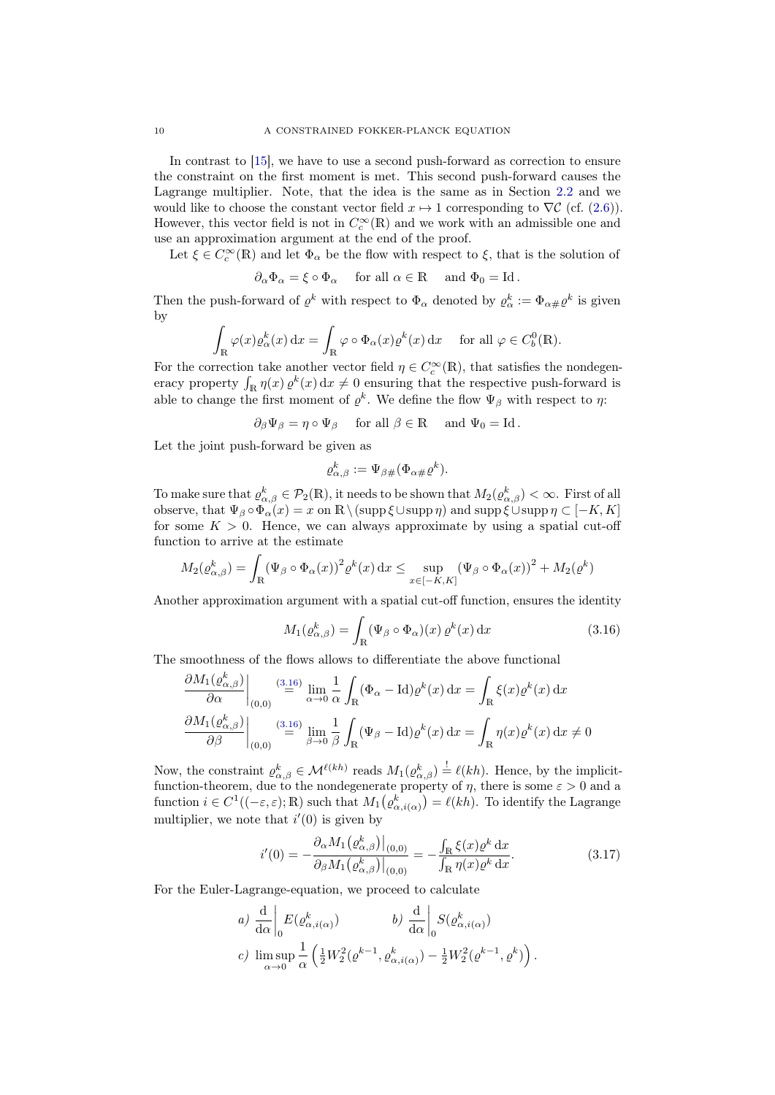In contrast to [\[15\]](#page-24-4), we have to use a second push-forward as correction to ensure the constraint on the first moment is met. This second push-forward causes the Lagrange multiplier. Note, that the idea is the same as in Section [2.2](#page-3-1) and we would like to choose the constant vector field  $x \mapsto 1$  corresponding to  $\nabla \mathcal{C}$  (cf. [\(2.6\)](#page-5-4)). However, this vector field is not in  $C_c^{\infty}(\mathbb{R})$  and we work with an admissible one and use an approximation argument at the end of the proof.

Let  $\xi \in C_c^{\infty}(\mathbb{R})$  and let  $\Phi_{\alpha}$  be the flow with respect to  $\xi$ , that is the solution of

$$
\partial_\alpha \Phi_\alpha = \xi \circ \Phi_\alpha \quad \text{ for all } \alpha \in \mathbb{R} \quad \text{ and } \Phi_0 = \mathrm{Id}\,.
$$

Then the push-forward of  $\varrho^k$  with respect to  $\Phi_\alpha$  denoted by  $\varrho^k_\alpha := \Phi_{\alpha\#}\varrho^k$  is given by

$$
\int_{\mathbb{R}} \varphi(x) \varrho_{\alpha}^{k}(x) dx = \int_{\mathbb{R}} \varphi \circ \Phi_{\alpha}(x) \varrho^{k}(x) dx \quad \text{ for all } \varphi \in C_{b}^{0}(\mathbb{R}).
$$

For the correction take another vector field  $\eta \in C_c^{\infty}(\mathbb{R})$ , that satisfies the nondegeneracy property  $\int_{\mathbb{R}} \eta(x) \varrho^k(x) dx \neq 0$  ensuring that the respective push-forward is able to change the first moment of  $\varrho^k$ . We define the flow  $\Psi_\beta$  with respect to  $\eta$ :

 $\partial_{\beta} \Psi_{\beta} = \eta \circ \Psi_{\beta}$  for all  $\beta \in \mathbb{R}$  and  $\Psi_{0} = \text{Id}$ .

Let the joint push-forward be given as

$$
\varrho_{\alpha,\beta}^k := \Psi_{\beta\#}(\Phi_{\alpha\#}\varrho^k).
$$

To make sure that  $\varrho_{\alpha,\beta}^k \in \mathcal{P}_2(\mathbb{R})$ , it needs to be shown that  $M_2(\varrho_{\alpha,\beta}^k) < \infty$ . First of all observe, that  $\Psi_{\beta} \circ \Phi_{\alpha}(x) = x$  on  $\mathbb{R} \setminus (\text{supp} \xi \cup \text{supp} \eta)$  and  $\text{supp} \xi \cup \text{supp} \eta \subset [-K, K]$ for some  $K > 0$ . Hence, we can always approximate by using a spatial cut-off function to arrive at the estimate

$$
M_2(\varrho_{\alpha,\beta}^k) = \int_{\mathbb{R}} (\Psi_{\beta} \circ \Phi_{\alpha}(x))^2 \varrho^k(x) dx \le \sup_{x \in [-K,K]} (\Psi_{\beta} \circ \Phi_{\alpha}(x))^2 + M_2(\varrho^k)
$$

Another approximation argument with a spatial cut-off function, ensures the identity

<span id="page-9-0"></span>
$$
M_1(\varrho_{\alpha,\beta}^k) = \int_{\mathbb{R}} (\Psi_{\beta} \circ \Phi_{\alpha})(x) \,\varrho^k(x) \,\mathrm{d}x \tag{3.16}
$$

The smoothness of the flows allows to differentiate the above functional

$$
\frac{\partial M_1(\varrho^k_{\alpha,\beta})}{\partial \alpha}\Big|_{(0,0)} \stackrel{(3.16)}{=} \lim_{\alpha \to 0} \frac{1}{\alpha} \int_{\mathbb{R}} (\Phi_\alpha - \mathrm{Id}) \varrho^k(x) dx = \int_{\mathbb{R}} \xi(x) \varrho^k(x) dx
$$

$$
\frac{\partial M_1(\varrho^k_{\alpha,\beta})}{\partial \beta}\Big|_{(0,0)} \stackrel{(3.16)}{=} \lim_{\beta \to 0} \frac{1}{\beta} \int_{\mathbb{R}} (\Psi_\beta - \mathrm{Id}) \varrho^k(x) dx = \int_{\mathbb{R}} \eta(x) \varrho^k(x) dx \neq 0
$$

Now, the constraint  $\varrho_{\alpha,\beta}^k \in \mathcal{M}^{\ell(kh)}$  reads  $M_1(\varrho_{\alpha,\beta}^k) \stackrel{!}{=} \ell(kh)$ . Hence, by the implicitfunction-theorem, due to the nondegenerate property of  $\eta$ , there is some  $\varepsilon > 0$  and a function  $i \in C^1((-\varepsilon,\varepsilon); \mathbb{R})$  such that  $M_1(\varrho_{\alpha,i(\alpha)}^k) = \ell(kh)$ . To identify the Lagrange multiplier, we note that  $i'(0)$  is given by

<span id="page-9-1"></span>
$$
i'(0) = -\frac{\partial_{\alpha} M_1(\varrho^k_{\alpha,\beta})|_{(0,0)}}{\partial_{\beta} M_1(\varrho^k_{\alpha,\beta})|_{(0,0)}} = -\frac{\int_{\mathbb{R}} \xi(x) \varrho^k dx}{\int_{\mathbb{R}} \eta(x) \varrho^k dx}.
$$
 (3.17)

For the Euler-Lagrange-equation, we proceed to calculate

a) 
$$
\frac{d}{d\alpha}\Big|_0 E(\varrho^k_{\alpha,i(\alpha)})
$$
 b)  $\frac{d}{d\alpha}\Big|_0 S(\varrho^k_{\alpha,i(\alpha)})$   
c)  $\limsup_{\alpha \to 0} \frac{1}{\alpha} \left( \frac{1}{2} W_2^2(\varrho^{k-1}, \varrho^k_{\alpha,i(\alpha)}) - \frac{1}{2} W_2^2(\varrho^{k-1}, \varrho^k) \right).$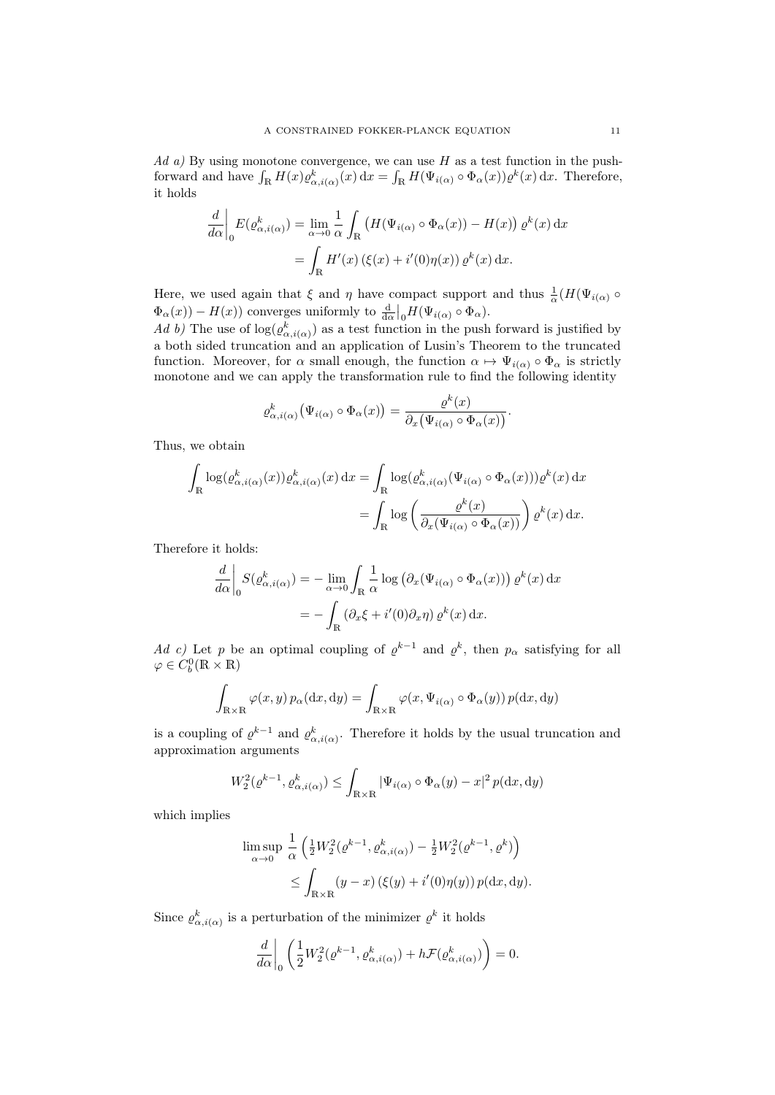$Ad\ a)$  By using monotone convergence, we can use H as a test function in the pushforward and have  $\int_{\mathbb{R}} H(x) \varrho_{\alpha,i(\alpha)}^k(x) dx = \int_{\mathbb{R}} H(\Psi_{i(\alpha)} \circ \Phi_{\alpha}(x)) \varrho^k(x) dx$ . Therefore, it holds

$$
\frac{d}{d\alpha}\bigg|_{0} E(\varrho_{\alpha,i(\alpha)}^{k}) = \lim_{\alpha \to 0} \frac{1}{\alpha} \int_{\mathbb{R}} \left( H(\Psi_{i(\alpha)} \circ \Phi_{\alpha}(x)) - H(x) \right) \varrho^{k}(x) dx
$$

$$
= \int_{\mathbb{R}} H'(x) \left( \xi(x) + i'(0)\eta(x) \right) \varrho^{k}(x) dx.
$$

Here, we used again that  $\xi$  and  $\eta$  have compact support and thus  $\frac{1}{\alpha}(H(\Psi_{i(\alpha)}) \circ$  $\Phi_{\alpha}(x) - H(x)$  converges uniformly to  $\frac{d}{d\alpha}|_{0}H(\Psi_{i(\alpha)} \circ \Phi_{\alpha}).$ 

Ad b) The use of  $log(\varrho_{\alpha,i(\alpha)}^k)$  as a test function in the push forward is justified by a both sided truncation and an application of Lusin's Theorem to the truncated function. Moreover, for  $\alpha$  small enough, the function  $\alpha \mapsto \Psi_{i(\alpha)} \circ \Phi_{\alpha}$  is strictly monotone and we can apply the transformation rule to find the following identity

$$
\varrho_{\alpha,i(\alpha)}^{k}(\Psi_{i(\alpha)}\circ\Phi_{\alpha}(x))=\frac{\varrho^{k}(x)}{\partial_{x}(\Psi_{i(\alpha)}\circ\Phi_{\alpha}(x))}.
$$

Thus, we obtain

$$
\int_{\mathbb{R}} \log(\varrho_{\alpha,i(\alpha)}^{k}(x)) \varrho_{\alpha,i(\alpha)}^{k}(x) dx = \int_{\mathbb{R}} \log(\varrho_{\alpha,i(\alpha)}^{k}(\Psi_{i(\alpha)} \circ \Phi_{\alpha}(x))) \varrho^{k}(x) dx \n= \int_{\mathbb{R}} \log \left( \frac{\varrho^{k}(x)}{\partial_{x}(\Psi_{i(\alpha)} \circ \Phi_{\alpha}(x))} \right) \varrho^{k}(x) dx.
$$

Therefore it holds:

$$
\frac{d}{d\alpha}\bigg|_{0} S(\varrho_{\alpha,i(\alpha)}^{k}) = -\lim_{\alpha \to 0} \int_{\mathbb{R}} \frac{1}{\alpha} \log \left( \partial_{x} (\Psi_{i(\alpha)} \circ \Phi_{\alpha}(x)) \right) \varrho^{k}(x) dx
$$

$$
= -\int_{\mathbb{R}} \left( \partial_{x} \xi + i'(0) \partial_{x} \eta \right) \varrho^{k}(x) dx.
$$

Ad c) Let p be an optimal coupling of  $\varrho^{k-1}$  and  $\varrho^k$ , then  $p_\alpha$  satisfying for all  $\varphi \in C_b^0(\mathbb{R} \times \mathbb{R})$ 

$$
\int_{\mathbb{R}\times\mathbb{R}} \varphi(x,y) \, p_{\alpha}(\mathrm{d}x,\mathrm{d}y) = \int_{\mathbb{R}\times\mathbb{R}} \varphi(x,\Psi_{i(\alpha)}\circ\Phi_{\alpha}(y)) \, p(\mathrm{d}x,\mathrm{d}y)
$$

is a coupling of  $\varrho^{k-1}$  and  $\varrho^{k}_{\alpha,i(\alpha)}$ . Therefore it holds by the usual truncation and approximation arguments

$$
W_2^2(\varrho^{k-1}, \varrho^k_{\alpha,i(\alpha)}) \le \int_{\mathbb{R} \times \mathbb{R}} |\Psi_{i(\alpha)} \circ \Phi_{\alpha}(y) - x|^2 p(\mathrm{d}x, \mathrm{d}y)
$$

which implies

$$
\limsup_{\alpha \to 0} \frac{1}{\alpha} \left( \frac{1}{2} W_2^2(\varrho^{k-1}, \varrho^k_{\alpha, i(\alpha)}) - \frac{1}{2} W_2^2(\varrho^{k-1}, \varrho^k) \right)
$$
  

$$
\leq \int_{\mathbb{R} \times \mathbb{R}} (y - x) \left( \xi(y) + i'(0) \eta(y) \right) p(\mathrm{d}x, \mathrm{d}y).
$$

Since  $\varrho_{\alpha,i(\alpha)}^k$  is a perturbation of the minimizer  $\varrho^k$  it holds

$$
\frac{d}{d\alpha}\bigg|_0 \left(\frac{1}{2}W_2^2(\varrho^{k-1}, \varrho^k_{\alpha,i(\alpha)}) + h\mathcal{F}(\varrho^k_{\alpha,i(\alpha)})\right) = 0.
$$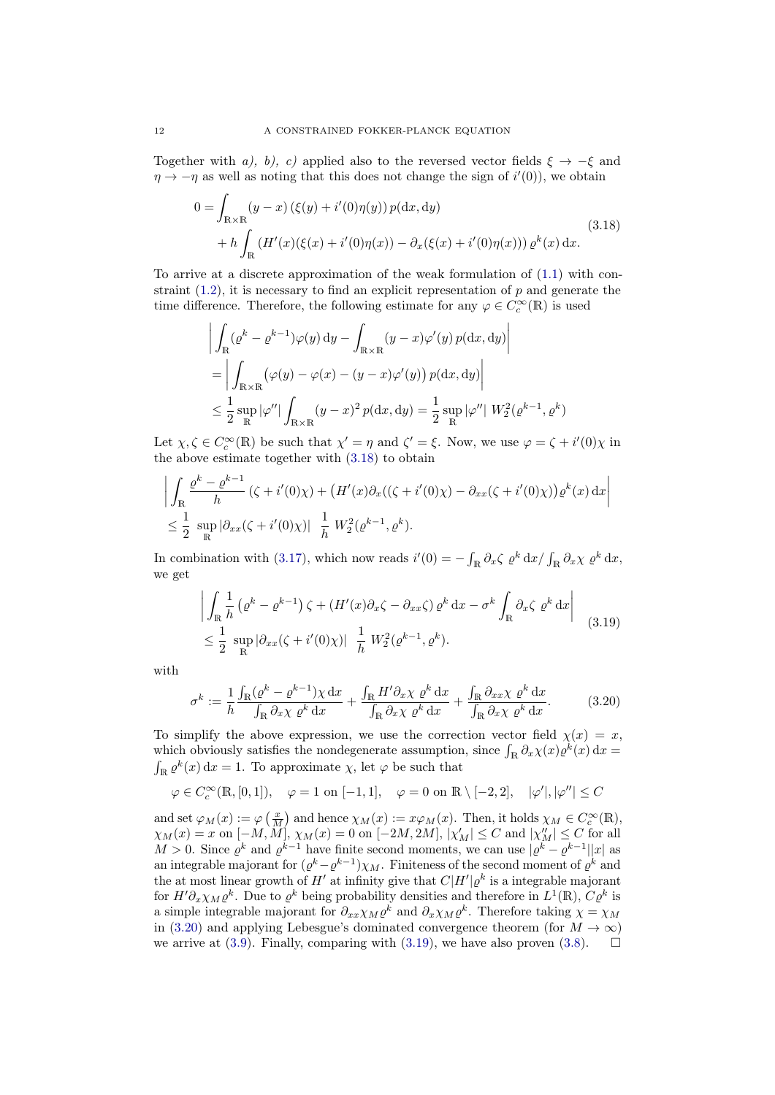Together with a), b), c) applied also to the reversed vector fields  $\xi \rightarrow -\xi$  and  $\eta \to -\eta$  as well as noting that this does not change the sign of  $i'(0)$ , we obtain

<span id="page-11-0"></span>
$$
0 = \int_{\mathbb{R} \times \mathbb{R}} (y - x) (\xi(y) + i'(0)\eta(y)) p(\mathrm{d}x, \mathrm{d}y) + h \int_{\mathbb{R}} (H'(x)(\xi(x) + i'(0)\eta(x)) - \partial_x(\xi(x) + i'(0)\eta(x))) \varrho^k(x) \mathrm{d}x.
$$
 (3.18)

To arrive at a discrete approximation of the weak formulation of [\(1.1\)](#page-0-0) with constraint  $(1.2)$ , it is necessary to find an explicit representation of p and generate the time difference. Therefore, the following estimate for any  $\varphi \in C_c^{\infty}(\mathbb{R})$  is used

$$
\left| \int_{\mathbb{R}} (\varrho^k - \varrho^{k-1}) \varphi(y) \, dy - \int_{\mathbb{R} \times \mathbb{R}} (y - x) \varphi'(y) \, p(\mathrm{d}x, \mathrm{d}y) \right|
$$
  
\n
$$
= \left| \int_{\mathbb{R} \times \mathbb{R}} (\varphi(y) - \varphi(x) - (y - x) \varphi'(y)) \, p(\mathrm{d}x, \mathrm{d}y) \right|
$$
  
\n
$$
\leq \frac{1}{2} \sup_{\mathbb{R}} |\varphi''| \int_{\mathbb{R} \times \mathbb{R}} (y - x)^2 \, p(\mathrm{d}x, \mathrm{d}y) = \frac{1}{2} \sup_{\mathbb{R}} |\varphi''| \, W_2^2(\varrho^{k-1}, \varrho^k)
$$

Let  $\chi, \zeta \in C_c^{\infty}(\mathbb{R})$  be such that  $\chi' = \eta$  and  $\zeta' = \xi$ . Now, we use  $\varphi = \zeta + i'(0)\chi$  in the above estimate together with [\(3.18\)](#page-11-0) to obtain

$$
\left| \int_{\mathbb{R}} \frac{\varrho^{k} - \varrho^{k-1}}{h} \left( \zeta + i'(0)\chi \right) + \left( H'(x)\partial_{x} \left( \left( \zeta + i'(0)\chi \right) - \partial_{xx} \left( \zeta + i'(0)\chi \right) \right) \varrho^{k}(x) \, \mathrm{d}x \right| \right|
$$
  

$$
\leq \frac{1}{2} \sup_{\mathbb{R}} \left| \partial_{xx} \left( \zeta + i'(0)\chi \right) \right| \left| \frac{1}{h} W_{2}^{2}(\varrho^{k-1}, \varrho^{k}).
$$

In combination with [\(3.17\)](#page-9-1), which now reads  $i'(0) = -\int_{\mathbb{R}} \partial_x \zeta \varrho^k dx / \int_{\mathbb{R}} \partial_x \chi \varrho^k dx$ , we get

<span id="page-11-2"></span>
$$
\left| \int_{\mathbb{R}} \frac{1}{h} \left( \varrho^{k} - \varrho^{k-1} \right) \zeta + \left( H'(x) \partial_{x} \zeta - \partial_{xx} \zeta \right) \varrho^{k} dx - \sigma^{k} \int_{\mathbb{R}} \partial_{x} \zeta \varrho^{k} dx \right|
$$
\n
$$
\leq \frac{1}{2} \sup_{\mathbb{R}} \left| \partial_{xx} (\zeta + i'(0)\chi) \right| \frac{1}{h} W_{2}^{2}(\varrho^{k-1}, \varrho^{k}).
$$
\n(3.19)

with

<span id="page-11-1"></span>
$$
\sigma^k := \frac{1}{h} \frac{\int_{\mathbb{R}} (\varrho^k - \varrho^{k-1}) \chi \, dx}{\int_{\mathbb{R}} \partial_x \chi \, \varrho^k \, dx} + \frac{\int_{\mathbb{R}} H' \partial_x \chi \, \varrho^k \, dx}{\int_{\mathbb{R}} \partial_x \chi \, \varrho^k \, dx} + \frac{\int_{\mathbb{R}} \partial_x \chi \, \varrho^k \, dx}{\int_{\mathbb{R}} \partial_x \chi \, \varrho^k \, dx}.
$$
 (3.20)

To simplify the above expression, we use the correction vector field  $\chi(x) = x$ , which obviously satisfies the nondegenerate assumption, since  $\int_{\mathbb{R}} \partial_x \chi(x) \varrho^k(x) dx =$  $\int_{\mathbb{R}} \varrho^k(x) dx = 1$ . To approximate  $\chi$ , let  $\varphi$  be such that

$$
\varphi\in C_c^\infty(\mathbb{R},[0,1]),\quad \varphi=1\,\,{\rm on}\,\,[-1,1],\quad \varphi=0\,\,{\rm on}\,\,\mathbb{R}\setminus[-2,2],\quad |\varphi'|,|\varphi''|\leq C
$$

and set  $\varphi_M(x) := \varphi\left(\frac{x}{M}\right)$  and hence  $\chi_M(x) := x\varphi_M(x)$ . Then, it holds  $\chi_M \in C_c^{\infty}(\mathbb{R})$ ,  $\chi_M(x) = x$  on  $[-M, \overline{M}], \chi_M(x) = 0$  on  $[-2M, 2M], |\chi'_M| \le C$  and  $|\chi''_M| \le C$  for all  $M > 0$ . Since  $\varrho^k$  and  $\varrho^{k-1}$  have finite second moments, we can use  $|\varrho^k - \varrho^{k-1}| |x|$  as an integrable majorant for  $(\varrho^k - \varrho^{k-1})\chi_M$ . Finiteness of the second moment of  $\varrho^k$  and the at most linear growth of H' at infinity give that  $C|H'|\varrho^k$  is a integrable majorant for  $H' \partial_x \chi_M \varrho^k$ . Due to  $\varrho^k$  being probability densities and therefore in  $L^1(\mathbb{R})$ ,  $C\varrho^k$  is a simple integrable majorant for  $\partial_{xx}\chi_M \varrho^k$  and  $\partial_x\chi_M \varrho^k$ . Therefore taking  $\chi = \chi_M$ in [\(3.20\)](#page-11-1) and applying Lebesgue's dominated convergence theorem (for  $M \to \infty$ ) we arrive at [\(3.9\)](#page-7-3). Finally, comparing with [\(3.19\)](#page-11-2), we have also proven [\(3.8\)](#page-7-2).  $\Box$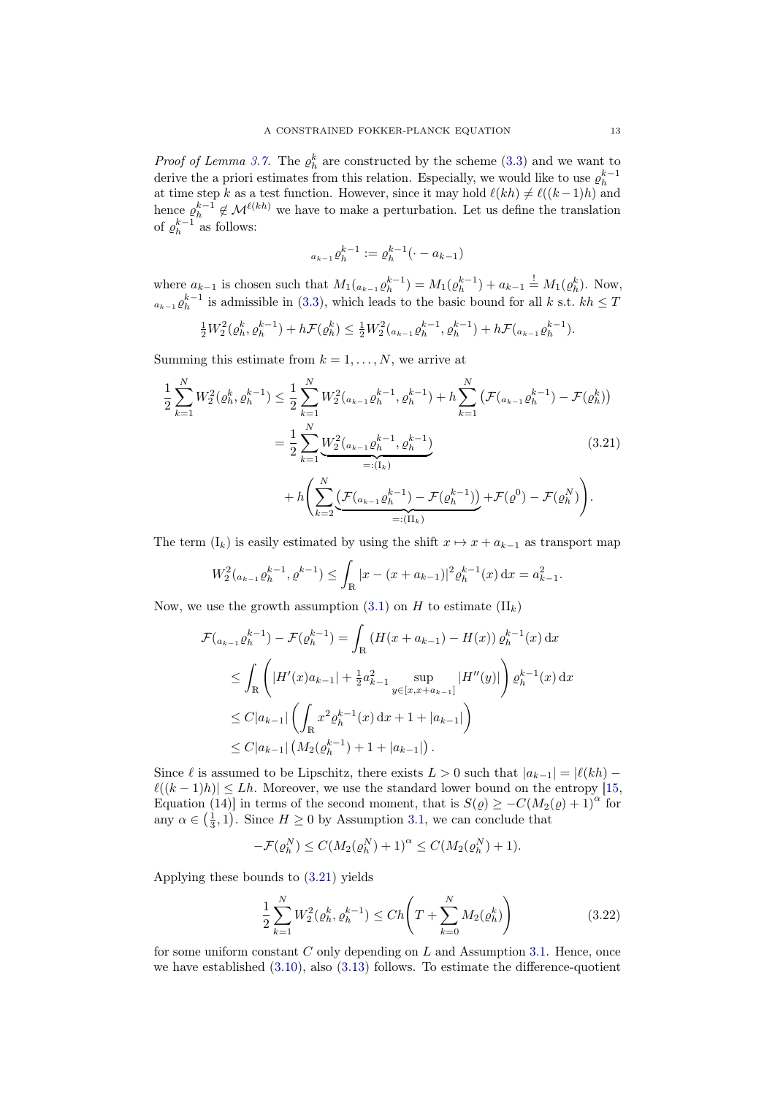*Proof of Lemma [3.7.](#page-7-1)* The  $\rho_h^k$  are constructed by the scheme [\(3.3\)](#page-6-0) and we want to derive the a priori estimates from this relation. Especially, we would like to use  $\varrho_h^{k-1}$ at time step k as a test function. However, since it may hold  $\ell(kh) \neq \ell((k-1)h)$  and hence  $\rho_h^{k-1} \notin \mathcal{M}^{\ell(kh)}$  we have to make a perturbation. Let us define the translation of  $\varrho_h^{k-1}$  as follows:

<span id="page-12-0"></span>
$$
a_{k-1} \varrho_h^{k-1} := \varrho_h^{k-1}(\cdot - a_{k-1})
$$

where  $a_{k-1}$  is chosen such that  $M_1(a_{k-1}\rho_h^{k-1}) = M_1(\rho_h^{k-1}) + a_{k-1} \stackrel{!}{=} M_1(\rho_h^k)$ . Now,  $a_{k-1} \varrho_h^{k-1}$  is admissible in [\(3.3\)](#page-6-0), which leads to the basic bound for all k s.t.  $kh \leq T$ 

$$
\frac{1}{2}W_2^2(\varrho_h^k, \varrho_h^{k-1}) + h\mathcal{F}(\varrho_h^k) \le \frac{1}{2}W_2^2(a_{k-1}\varrho_h^{k-1}, \varrho_h^{k-1}) + h\mathcal{F}(a_{k-1}\varrho_h^{k-1}).
$$

Summing this estimate from  $k = 1, \ldots, N$ , we arrive at

$$
\frac{1}{2} \sum_{k=1}^{N} W_2^2(\varrho_h^k, \varrho_h^{k-1}) \le \frac{1}{2} \sum_{k=1}^{N} W_2^2(a_{k-1}\varrho_h^{k-1}, \varrho_h^{k-1}) + h \sum_{k=1}^{N} \left( \mathcal{F}(a_{k-1}\varrho_h^{k-1}) - \mathcal{F}(\varrho_h^k) \right)
$$
\n
$$
= \frac{1}{2} \sum_{k=1}^{N} \underbrace{W_2^2(a_{k-1}\varrho_h^{k-1}, \varrho_h^{k-1})}_{=: (I_k)} + h \left( \sum_{k=2}^{N} \underbrace{\left( \mathcal{F}(a_{k-1}\varrho_h^{k-1}) - \mathcal{F}(\varrho_h^{k-1}) \right)}_{=: (II_k)} + \mathcal{F}(\varrho^0) - \mathcal{F}(\varrho_h^N) \right).
$$
\n(3.21)

The term  $(I_k)$  is easily estimated by using the shift  $x \mapsto x + a_{k-1}$  as transport map

$$
W_2^2(a_{k-1}\varrho_h^{k-1}, \varrho^{k-1}) \leq \int_{\mathbb{R}} |x - (x + a_{k-1})|^2 \varrho_h^{k-1}(x) dx = a_{k-1}^2.
$$

Now, we use the growth assumption  $(3.1)$  on H to estimate  $(II_k)$ 

$$
\mathcal{F}(a_{k-1}\varrho_h^{k-1}) - \mathcal{F}(\varrho_h^{k-1}) = \int_{\mathbb{R}} \left( H(x + a_{k-1}) - H(x) \right) \varrho_h^{k-1}(x) dx
$$
\n
$$
\leq \int_{\mathbb{R}} \left( |H'(x)a_{k-1}| + \frac{1}{2} a_{k-1}^2 \sup_{y \in [x, x + a_{k-1}]} |H''(y)| \right) \varrho_h^{k-1}(x) dx
$$
\n
$$
\leq C|a_{k-1}| \left( \int_{\mathbb{R}} x^2 \varrho_h^{k-1}(x) dx + 1 + |a_{k-1}| \right)
$$
\n
$$
\leq C|a_{k-1}| \left( M_2(\varrho_h^{k-1}) + 1 + |a_{k-1}| \right).
$$

Since  $\ell$  is assumed to be Lipschitz, there exists  $L > 0$  such that  $|a_{k-1}| = |\ell(kh) - \ell(kh)|$  $\ell((k - 1)h)| \leq Lh$ . Moreover, we use the standard lower bound on the entropy [\[15,](#page-24-4) Equation (14)] in terms of the second moment, that is  $S(\varrho) \geq -C(M_2(\varrho) + 1)^{\alpha}$  for any  $\alpha \in \left(\frac{1}{3}, 1\right)$ . Since  $H \geq 0$  by Assumption [3.1,](#page-5-1) we can conclude that

$$
-\mathcal{F}(\varrho_h^N) \le C(M_2(\varrho_h^N) + 1)^\alpha \le C(M_2(\varrho_h^N) + 1).
$$

Applying these bounds to [\(3.21\)](#page-12-0) yields

<span id="page-12-1"></span>
$$
\frac{1}{2} \sum_{k=1}^{N} W_2^2(\varrho_h^k, \varrho_h^{k-1}) \le Ch \left( T + \sum_{k=0}^{N} M_2(\varrho_h^k) \right)
$$
\n(3.22)

for some uniform constant  $C$  only depending on  $L$  and Assumption [3.1.](#page-5-1) Hence, once we have established [\(3.10\)](#page-7-4), also [\(3.13\)](#page-7-6) follows. To estimate the difference-quotient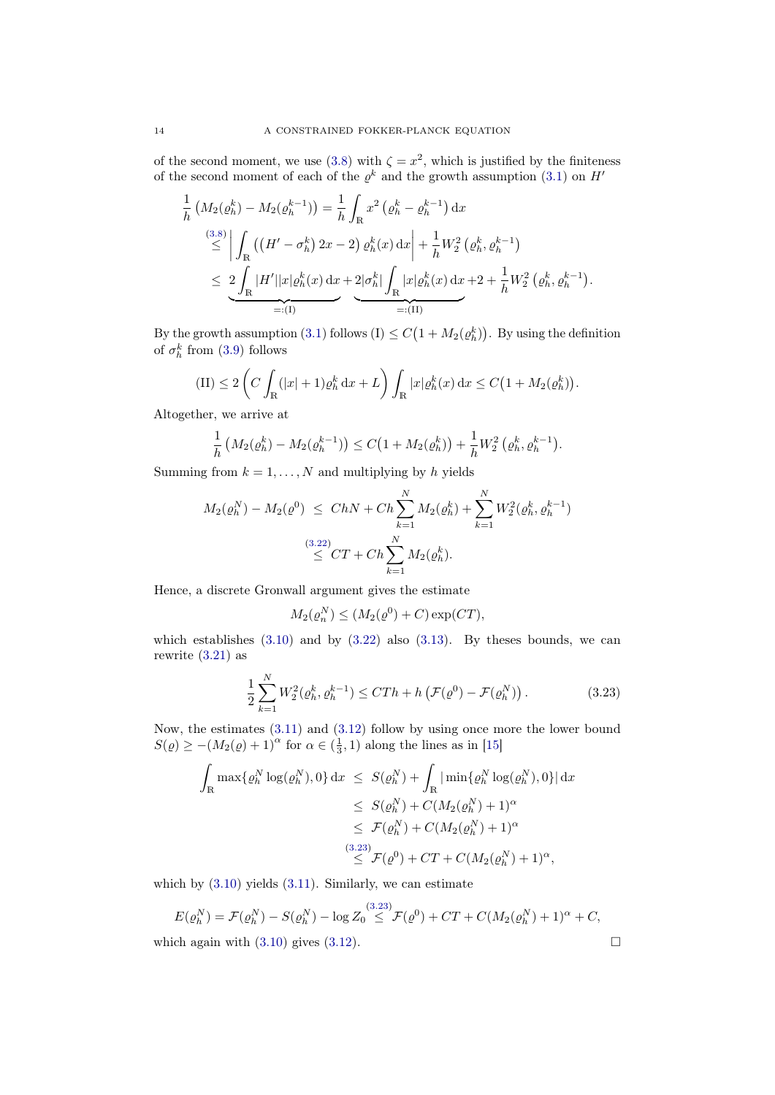of the second moment, we use [\(3.8\)](#page-7-2) with  $\zeta = x^2$ , which is justified by the finiteness of the second moment of each of the  $\varrho^k$  and the growth assumption [\(3.1\)](#page-5-2) on H<sup>1</sup>

$$
\frac{1}{h} \left( M_2(\varrho_h^k) - M_2(\varrho_h^{k-1}) \right) = \frac{1}{h} \int_{\mathbb{R}} x^2 \left( \varrho_h^k - \varrho_h^{k-1} \right) dx
$$
\n
$$
\stackrel{(3.8)}{\leq} \left| \int_{\mathbb{R}} \left( \left( H' - \sigma_h^k \right) 2x - 2 \right) \varrho_h^k(x) dx \right| + \frac{1}{h} W_2^2 \left( \varrho_h^k, \varrho_h^{k-1} \right)
$$
\n
$$
\leq 2 \int_{\mathbb{R}} |H'| |x| \varrho_h^k(x) dx + 2 |\sigma_h^k| \int_{\mathbb{R}} |x| \varrho_h^k(x) dx + 2 + \frac{1}{h} W_2^2 \left( \varrho_h^k, \varrho_h^{k-1} \right).
$$
\n
$$
=: (I)
$$

By the growth assumption [\(3.1\)](#page-5-2) follows  $(I) \leq C(1 + M_2(\varrho_h^k))$ . By using the definition of  $\sigma_h^k$  from [\(3.9\)](#page-7-3) follows

$$
\text{(II)} \le 2\left(C\int_{\mathbb{R}}(|x|+1)\varrho_h^k\,\mathrm{d}x + L\right)\int_{\mathbb{R}}|x|\varrho_h^k(x)\,\mathrm{d}x \le C\big(1 + M_2(\varrho_h^k)\big).
$$

Altogether, we arrive at

$$
\frac{1}{h}\left(M_2(\varrho_h^k) - M_2(\varrho_h^{k-1})\right) \le C\left(1 + M_2(\varrho_h^k)\right) + \frac{1}{h}W_2^2\left(\varrho_h^k, \varrho_h^{k-1}\right).
$$

Summing from  $k = 1, ..., N$  and multiplying by h yields

$$
M_2(\varrho_h^N) - M_2(\varrho^0) \le ChN + Ch \sum_{k=1}^N M_2(\varrho_h^k) + \sum_{k=1}^N W_2^2(\varrho_h^k, \varrho_h^{k-1})
$$
  

$$
\stackrel{(3.22)}{\le Cr + Ch} \sum_{k=1}^N M_2(\varrho_h^k).
$$

Hence, a discrete Gronwall argument gives the estimate

<span id="page-13-0"></span>
$$
M_2(\varrho_n^N) \le (M_2(\varrho^0) + C) \exp(CT),
$$

which establishes  $(3.10)$  and by  $(3.22)$  also  $(3.13)$ . By theses bounds, we can rewrite [\(3.21\)](#page-12-0) as

$$
\frac{1}{2} \sum_{k=1}^{N} W_2^2(\varrho_h^k, \varrho_h^{k-1}) \le CTh + h\left(\mathcal{F}(\varrho^0) - \mathcal{F}(\varrho_h^N)\right). \tag{3.23}
$$

Now, the estimates [\(3.11\)](#page-7-5) and [\(3.12\)](#page-7-11) follow by using once more the lower bound  $S(\varrho) \ge -(M_2(\varrho) + 1)^{\alpha}$  for  $\alpha \in (\frac{1}{3}, 1)$  along the lines as in [\[15\]](#page-24-4)

$$
\int_{\mathbb{R}} \max \{\varrho_h^N \log(\varrho_h^N), 0\} dx \leq S(\varrho_h^N) + \int_{\mathbb{R}} |\min \{\varrho_h^N \log(\varrho_h^N), 0\}| dx
$$
  
\n
$$
\leq S(\varrho_h^N) + C(M_2(\varrho_h^N) + 1)^{\alpha}
$$
  
\n
$$
\leq \mathcal{F}(\varrho_h^N) + C(M_2(\varrho_h^N) + 1)^{\alpha}
$$
  
\n
$$
\leq \mathcal{F}(\varrho^0) + CT + C(M_2(\varrho_h^N) + 1)^{\alpha},
$$

which by  $(3.10)$  yields  $(3.11)$ . Similarly, we can estimate

$$
E(\varrho_h^N) = \mathcal{F}(\varrho_h^N) - S(\varrho_h^N) - \log Z_0 \stackrel{(3.23)}{\leq} \mathcal{F}(\varrho^0) + CT + C(M_2(\varrho_h^N) + 1)^\alpha + C,
$$
  
which again with (3.10) gives (3.12).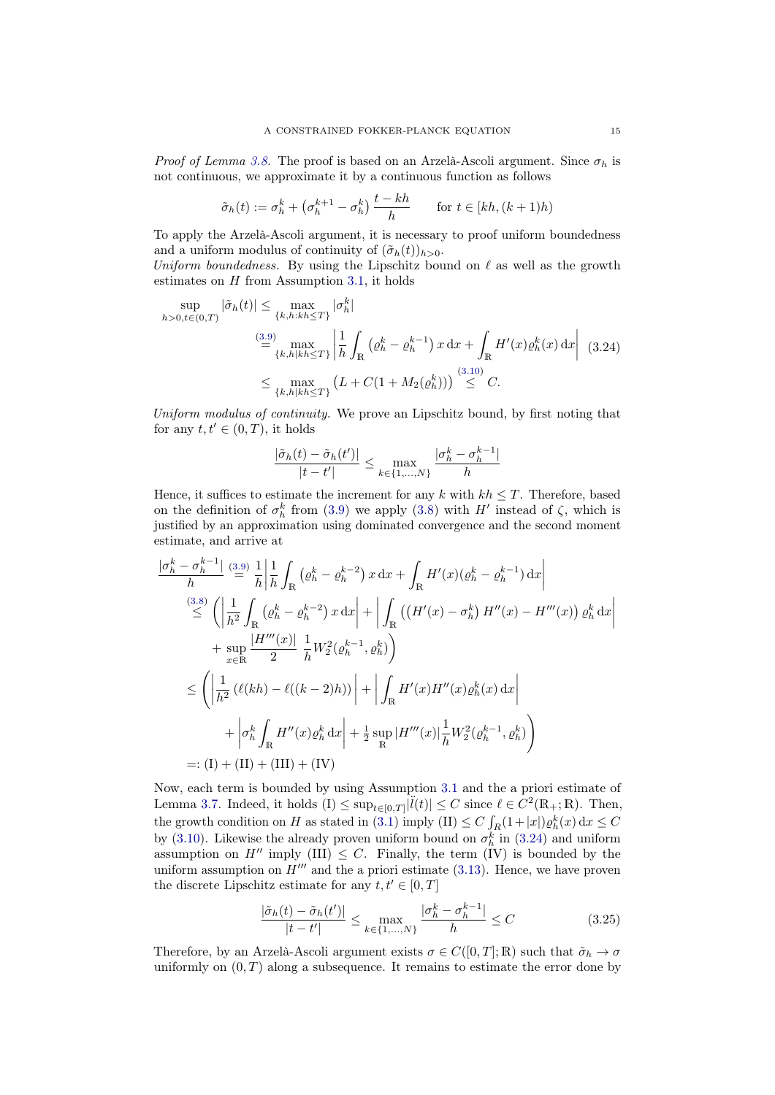*Proof of Lemma [3.8.](#page-7-9)* The proof is based on an Arzelà-Ascoli argument. Since  $\sigma_h$  is not continuous, we approximate it by a continuous function as follows

$$
\tilde{\sigma}_h(t) := \sigma_h^k + \left(\sigma_h^{k+1} - \sigma_h^k\right) \frac{t - kh}{h} \qquad \text{for } t \in [kh, (k+1)h)
$$

To apply the Arzelà-Ascoli argument, it is necessary to proof uniform boundedness and a uniform modulus of continuity of  $(\tilde{\sigma}_h(t))_{h>0}$ .

Uniform boundedness. By using the Lipschitz bound on  $\ell$  as well as the growth estimates on  $H$  from Assumption [3.1,](#page-5-1) it holds

$$
\sup_{h>0,t\in(0,T)} |\tilde{\sigma}_h(t)| \le \max_{\{k,h:kh\le T\}} |\sigma_h^k|
$$
  

$$
\stackrel{(3.9)}{=} \max_{\{k,h|kh\le T\}} \left| \frac{1}{h} \int_{\mathbb{R}} \left( \varrho_h^k - \varrho_h^{k-1} \right) x \, dx + \int_{\mathbb{R}} H'(x) \varrho_h^k(x) \, dx \right| \tag{3.24}
$$
  

$$
\le \max_{\{k,h|kh\le T\}} \left( L + C(1 + M_2(\varrho_h^k)) \right) \stackrel{(3.10)}{\le} C.
$$

Uniform modulus of continuity. We prove an Lipschitz bound, by first noting that for any  $t, t' \in (0, T)$ , it holds

<span id="page-14-0"></span>
$$
\frac{|\tilde{\sigma}_h(t) - \tilde{\sigma}_h(t')|}{|t - t'|} \le \max_{k \in \{1, ..., N\}} \frac{|\sigma_h^k - \sigma_h^{k-1}|}{h}
$$

Hence, it suffices to estimate the increment for any k with  $kh \leq T$ . Therefore, based on the definition of  $\sigma_h^k$  from [\(3.9\)](#page-7-3) we apply [\(3.8\)](#page-7-2) with H' instead of  $\zeta$ , which is justified by an approximation using dominated convergence and the second moment estimate, and arrive at

$$
\frac{|\sigma_h^k - \sigma_h^{k-1}|}{h} \stackrel{(3.9)}{=} \frac{1}{h} \left| \frac{1}{h} \int_{\mathbb{R}} \left( \varrho_h^k - \varrho_h^{k-2} \right) x \, dx + \int_{\mathbb{R}} H'(x) (\varrho_h^k - \varrho_h^{k-1}) \, dx \right|
$$
\n
$$
\stackrel{(3.8)}{\leq} \left( \left| \frac{1}{h^2} \int_{\mathbb{R}} \left( \varrho_h^k - \varrho_h^{k-2} \right) x \, dx \right| + \left| \int_{\mathbb{R}} \left( \left( H'(x) - \sigma_h^k \right) H''(x) - H'''(x) \right) \varrho_h^k \, dx \right|
$$
\n
$$
+ \sup_{x \in \mathbb{R}} \frac{|H'''(x)|}{2} \frac{1}{h} W_2^2(\varrho_h^{k-1}, \varrho_h^k) \right)
$$
\n
$$
\leq \left( \left| \frac{1}{h^2} \left( \ell(kh) - \ell((k-2)h) \right) \right| + \left| \int_{\mathbb{R}} H'(x) H''(x) \varrho_h^k(x) \, dx \right|
$$
\n
$$
+ \left| \sigma_h^k \int_{\mathbb{R}} H''(x) \varrho_h^k \, dx \right| + \frac{1}{2} \sup_{\mathbb{R}} |H'''(x)| \frac{1}{h} W_2^2(\varrho_h^{k-1}, \varrho_h^k) \right)
$$
\n=:\n(I) + (II) + (III) + (IV)

Now, each term is bounded by using Assumption [3.1](#page-5-1) and the a priori estimate of Lemma [3.7.](#page-7-1) Indeed, it holds  $(I) \leq \sup_{t \in [0,T]} |\ddot{l}(t)| \leq C$  since  $\ell \in C^2(\mathbb{R}_+;\mathbb{R})$ . Then, the growth condition on H as stated in [\(3.1\)](#page-5-2) imply (II)  $\leq C \int_R(1+|x|) \varrho_h^k(x) dx \leq C$ by [\(3.10\)](#page-7-4). Likewise the already proven uniform bound on  $\sigma_h^k$  in [\(3.24\)](#page-14-0) and uniform assumption on  $H''$  imply (III)  $\leq C$ . Finally, the term (IV) is bounded by the uniform assumption on  $H^{\prime\prime\prime}$  and the a priori estimate [\(3.13\)](#page-7-6). Hence, we have proven the discrete Lipschitz estimate for any  $t, t' \in [0, T]$ 

<span id="page-14-1"></span>
$$
\frac{|\tilde{\sigma}_h(t) - \tilde{\sigma}_h(t')|}{|t - t'|} \le \max_{k \in \{1, \dots, N\}} \frac{|\sigma_h^k - \sigma_h^{k-1}|}{h} \le C \tag{3.25}
$$

Therefore, by an Arzelà-Ascoli argument exists  $\sigma \in C([0,T];\mathbb{R})$  such that  $\tilde{\sigma}_h \to \sigma$ uniformly on  $(0, T)$  along a subsequence. It remains to estimate the error done by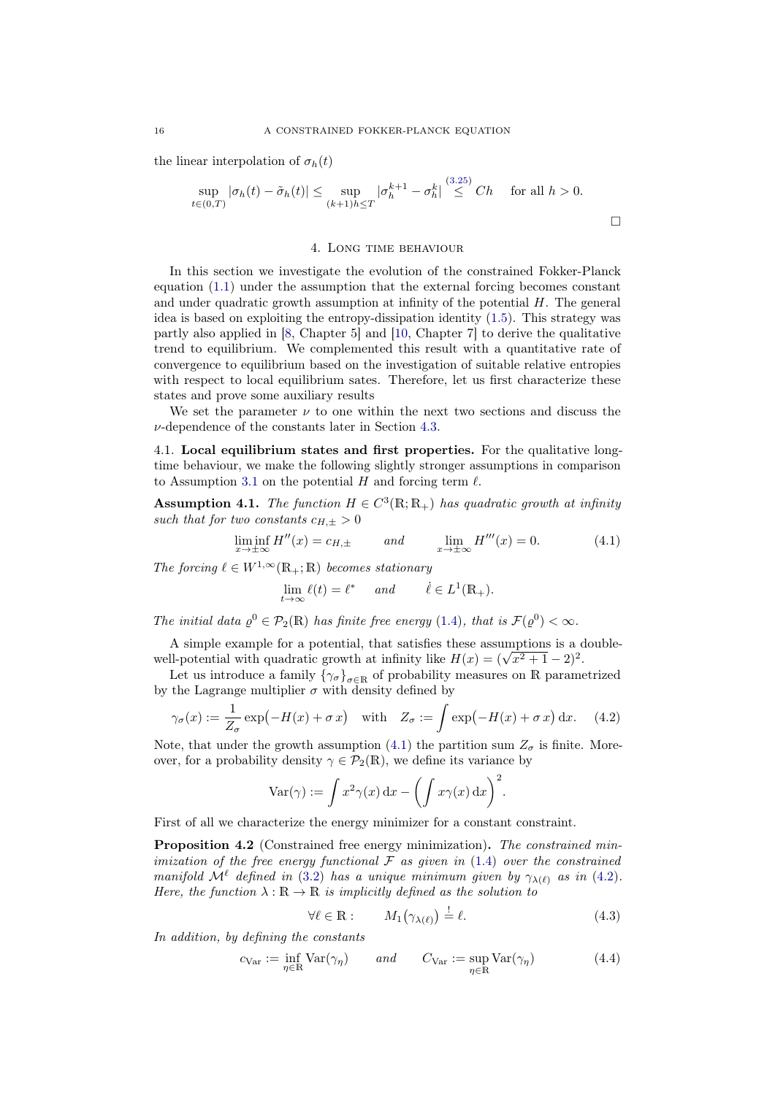the linear interpolation of  $\sigma_h(t)$ 

$$
\sup_{t\in(0,T)} |\sigma_h(t) - \tilde{\sigma}_h(t)| \le \sup_{(k+1)h\le T} |\sigma_h^{k+1} - \sigma_h^k| \stackrel{(3.23)}{\le} Ch \quad \text{for all } h > 0.
$$

 $(2.95)$ 

## 4. Long time behaviour

<span id="page-15-0"></span>In this section we investigate the evolution of the constrained Fokker-Planck equation [\(1.1\)](#page-0-0) under the assumption that the external forcing becomes constant and under quadratic growth assumption at infinity of the potential  $H$ . The general idea is based on exploiting the entropy-dissipation identity [\(1.5\)](#page-1-0). This strategy was partly also applied in [\[8,](#page-24-10) Chapter 5] and [\[10,](#page-24-12) Chapter 7] to derive the qualitative trend to equilibrium. We complemented this result with a quantitative rate of convergence to equilibrium based on the investigation of suitable relative entropies with respect to local equilibrium sates. Therefore, let us first characterize these states and prove some auxiliary results

We set the parameter  $\nu$  to one within the next two sections and discuss the  $\nu$ -dependence of the constants later in Section [4.3.](#page-22-0)

4.1. Local equilibrium states and first properties. For the qualitative longtime behaviour, we make the following slightly stronger assumptions in comparison to Assumption [3.1](#page-5-1) on the potential H and forcing term  $\ell$ .

<span id="page-15-4"></span>**Assumption 4.1.** The function  $H \in C^3(\mathbb{R}; \mathbb{R}_+)$  has quadratic growth at infinity such that for two constants  $c_{H,+} > 0$ 

$$
\liminf_{x \to \pm \infty} H''(x) = c_{H, \pm} \qquad \text{and} \qquad \lim_{x \to \pm \infty} H'''(x) = 0. \tag{4.1}
$$

The forcing  $\ell \in W^{1,\infty}(\mathbb{R}_+;\mathbb{R})$  becomes stationary

<span id="page-15-2"></span>
$$
\lim_{t \to \infty} \ell(t) = \ell^* \quad \text{and} \quad \dot{\ell} \in L^1(\mathbb{R}_+).
$$

The initial data  $\rho^0 \in \mathcal{P}_2(\mathbb{R})$  has finite free energy [\(1.4\)](#page-1-1), that is  $\mathcal{F}(\rho^0) < \infty$ .

A simple example for a potential, that satisfies these assumptions is a double-A simple example for a potential, that satisfies these assumptions is a c<br>well-potential with quadratic growth at infinity like  $H(x) = (\sqrt{x^2 + 1} - 2)^2$ .

Let us introduce a family  $\{\gamma_{\sigma}\}_{\sigma \in \mathbb{R}}$  of probability measures on R parametrized by the Lagrange multiplier  $\sigma$  with density defined by

$$
\gamma_{\sigma}(x) := \frac{1}{Z_{\sigma}} \exp(-H(x) + \sigma x) \quad \text{with} \quad Z_{\sigma} := \int \exp(-H(x) + \sigma x) \, dx. \tag{4.2}
$$

Note, that under the growth assumption [\(4.1\)](#page-15-2) the partition sum  $Z_{\sigma}$  is finite. Moreover, for a probability density  $\gamma \in \mathcal{P}_2(\mathbb{R})$ , we define its variance by

<span id="page-15-3"></span>
$$
\text{Var}(\gamma) := \int x^2 \gamma(x) \, dx - \left( \int x \gamma(x) \, dx \right)^2.
$$

First of all we characterize the energy minimizer for a constant constraint.

<span id="page-15-1"></span>Proposition 4.2 (Constrained free energy minimization). The constrained minimization of the free energy functional  $\mathcal F$  as given in [\(1.4\)](#page-1-1) over the constrained manifold  $\mathcal{M}^{\ell}$  defined in [\(3.2\)](#page-5-5) has a unique minimum given by  $\gamma_{\lambda(\ell)}$  as in [\(4.2\)](#page-15-3). Here, the function  $\lambda : \mathbb{R} \to \mathbb{R}$  is implicitly defined as the solution to

<span id="page-15-6"></span><span id="page-15-5"></span>
$$
\forall \ell \in \mathbb{R} : \qquad M_1(\gamma_{\lambda(\ell)}) \stackrel{!}{=} \ell. \tag{4.3}
$$

In addition, by defining the constants

$$
c_{\text{Var}} := \inf_{\eta \in \mathbb{R}} \text{Var}(\gamma_{\eta}) \qquad \text{and} \qquad C_{\text{Var}} := \sup_{\eta \in \mathbb{R}} \text{Var}(\gamma_{\eta}) \tag{4.4}
$$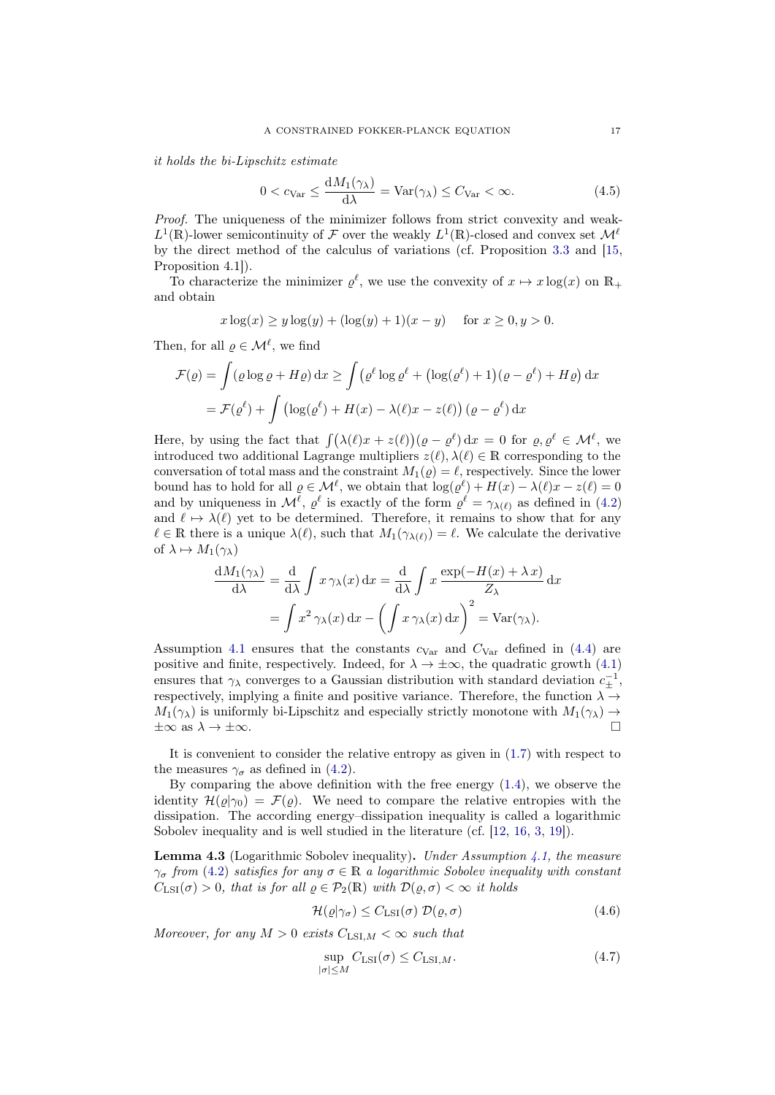it holds the bi-Lipschitz estimate

<span id="page-16-1"></span>
$$
0 < c_{\text{Var}} \le \frac{dM_1(\gamma_\lambda)}{d\lambda} = \text{Var}(\gamma_\lambda) \le C_{\text{Var}} < \infty. \tag{4.5}
$$

Proof. The uniqueness of the minimizer follows from strict convexity and weak- $L^1(\mathbb{R})$ -lower semicontinuity of F over the weakly  $L^1(\mathbb{R})$ -closed and convex set  $\mathcal{M}^{\ell}$ by the direct method of the calculus of variations (cf. Proposition [3.3](#page-6-5) and [\[15,](#page-24-4) Proposition 4.1]).

To characterize the minimizer  $\varrho^{\ell}$ , we use the convexity of  $x \mapsto x \log(x)$  on  $\mathbb{R}_+$ and obtain

$$
x \log(x) \ge y \log(y) + (\log(y) + 1)(x - y)
$$
 for  $x \ge 0, y > 0$ .

Then, for all  $\varrho \in \mathcal{M}^{\ell}$ , we find

$$
\mathcal{F}(\varrho) = \int (\varrho \log \varrho + H\varrho) \, dx \ge \int (\varrho^{\ell} \log \varrho^{\ell} + (\log(\varrho^{\ell}) + 1)(\varrho - \varrho^{\ell}) + H\varrho) \, dx
$$

$$
= \mathcal{F}(\varrho^{\ell}) + \int (\log(\varrho^{\ell}) + H(x) - \lambda(\ell)x - z(\ell)) (\varrho - \varrho^{\ell}) \, dx
$$

Here, by using the fact that  $\int (\lambda(\ell)x + z(\ell)) (\varrho - \varrho^{\ell}) dx = 0$  for  $\varrho, \varrho^{\ell} \in \mathcal{M}^{\ell}$ , we introduced two additional Lagrange multipliers  $z(\ell), \lambda(\ell) \in \mathbb{R}$  corresponding to the conversation of total mass and the constraint  $M_1(\varrho) = \ell$ , respectively. Since the lower bound has to hold for all  $\varrho \in \mathcal{M}^{\ell}$ , we obtain that  $\log(\varrho^{\ell}) + H(x) - \lambda(\ell)x - z(\ell) = 0$ and by uniqueness in  $\mathcal{M}^{\ell}$ ,  $\varrho^{\ell}$  is exactly of the form  $\varrho^{\ell} = \gamma_{\lambda(\ell)}$  as defined in [\(4.2\)](#page-15-3) and  $\ell \mapsto \lambda(\ell)$  yet to be determined. Therefore, it remains to show that for any  $\ell \in \mathbb{R}$  there is a unique  $\lambda(\ell)$ , such that  $M_1(\gamma_{\lambda(\ell)}) = \ell$ . We calculate the derivative of  $\lambda \mapsto M_1(\gamma_\lambda)$ 

$$
\frac{dM_1(\gamma_\lambda)}{d\lambda} = \frac{d}{d\lambda} \int x \,\gamma_\lambda(x) \,dx = \frac{d}{d\lambda} \int x \,\frac{\exp(-H(x) + \lambda x)}{Z_\lambda} \,dx
$$

$$
= \int x^2 \,\gamma_\lambda(x) \,dx - \left(\int x \,\gamma_\lambda(x) \,dx\right)^2 = \text{Var}(\gamma_\lambda).
$$

Assumption [4.1](#page-15-4) ensures that the constants  $c_{\text{Var}}$  and  $C_{\text{Var}}$  defined in [\(4.4\)](#page-15-5) are positive and finite, respectively. Indeed, for  $\lambda \to \pm \infty$ , the quadratic growth [\(4.1\)](#page-15-2) ensures that  $\gamma_{\lambda}$  converges to a Gaussian distribution with standard deviation  $c_{\pm}^{-1}$ , respectively, implying a finite and positive variance. Therefore, the function  $\lambda \rightarrow$  $M_1(\gamma_\lambda)$  is uniformly bi-Lipschitz and especially strictly monotone with  $M_1(\gamma_\lambda) \rightarrow$  $\pm\infty$  as  $\lambda \to \pm\infty$ .

It is convenient to consider the relative entropy as given in [\(1.7\)](#page-2-5) with respect to the measures  $\gamma_{\sigma}$  as defined in [\(4.2\)](#page-15-3).

By comparing the above definition with the free energy [\(1.4\)](#page-1-1), we observe the identity  $\mathcal{H}(\varrho|\gamma_0) = \mathcal{F}(\varrho)$ . We need to compare the relative entropies with the dissipation. The according energy–dissipation inequality is called a logarithmic Sobolev inequality and is well studied in the literature (cf. [\[12,](#page-24-13) [16,](#page-24-14) [3,](#page-23-3) [19\]](#page-24-15)).

<span id="page-16-2"></span>**Lemma 4.3** (Logarithmic Sobolev inequality). Under Assumption [4.1,](#page-15-4) the measure  $\gamma_{\sigma}$  from [\(4.2\)](#page-15-3) satisfies for any  $\sigma \in \mathbb{R}$  a logarithmic Sobolev inequality with constant  $C_{\text{LSI}}(\sigma) > 0$ , that is for all  $\rho \in \mathcal{P}_2(\mathbb{R})$  with  $\mathcal{D}(\rho, \sigma) < \infty$  it holds

<span id="page-16-3"></span>
$$
\mathcal{H}(\varrho|\gamma_{\sigma}) \le C_{\mathrm{LSI}}(\sigma) \ \mathcal{D}(\varrho, \sigma) \tag{4.6}
$$

Moreover, for any  $M > 0$  exists  $C_{\text{LSL},M} < \infty$  such that

<span id="page-16-0"></span>
$$
\sup_{|\sigma| \le M} C_{\text{LSI}}(\sigma) \le C_{\text{LSI},M}.\tag{4.7}
$$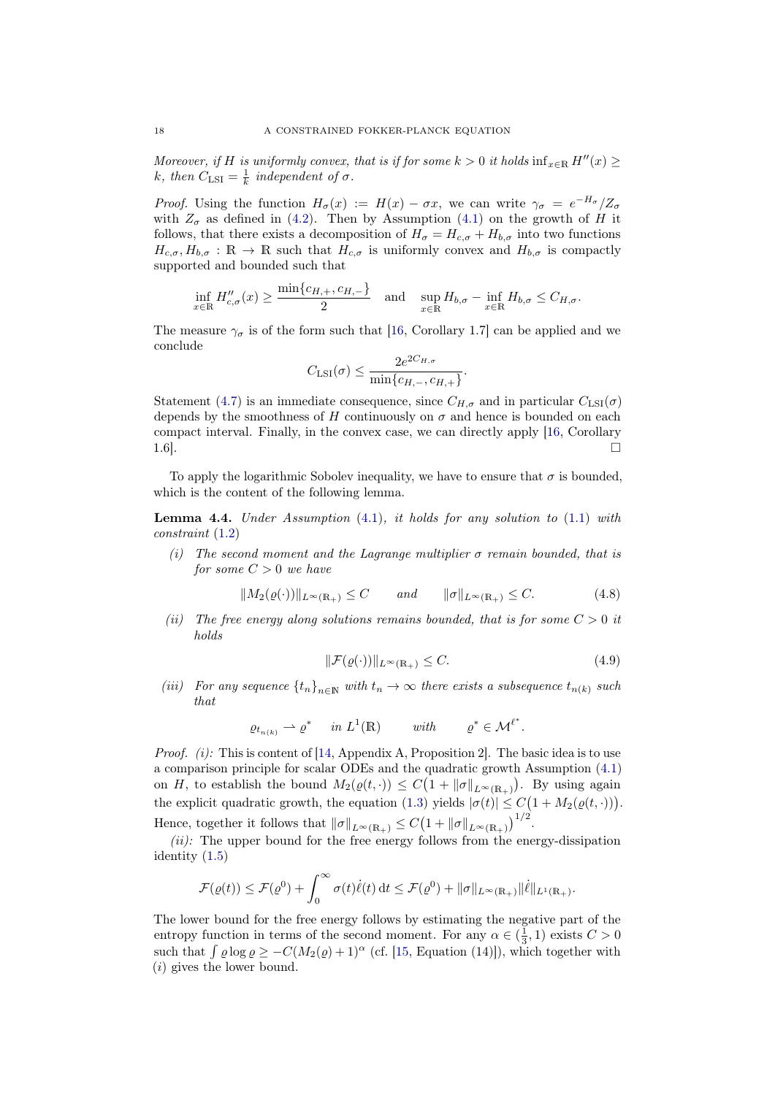Moreover, if H is uniformly convex, that is if for some  $k > 0$  it holds  $\inf_{x \in \mathbb{R}} H''(x) \geq$ k, then  $C_{\text{LSI}} = \frac{1}{k}$  independent of  $\sigma$ .

*Proof.* Using the function  $H_{\sigma}(x) := H(x) - \sigma x$ , we can write  $\gamma_{\sigma} = e^{-H_{\sigma}}/Z_{\sigma}$ with  $Z_{\sigma}$  as defined in [\(4.2\)](#page-15-3). Then by Assumption [\(4.1\)](#page-15-2) on the growth of H it follows, that there exists a decomposition of  $H_{\sigma} = H_{c,\sigma} + H_{b,\sigma}$  into two functions  $H_{c,\sigma}, H_{b,\sigma} : \mathbb{R} \to \mathbb{R}$  such that  $H_{c,\sigma}$  is uniformly convex and  $H_{b,\sigma}$  is compactly supported and bounded such that

$$
\inf_{x \in \mathbb{R}} H''_{c,\sigma}(x) \ge \frac{\min\{c_{H,+}, c_{H,-}\}}{2} \quad \text{and} \quad \sup_{x \in \mathbb{R}} H_{b,\sigma} - \inf_{x \in \mathbb{R}} H_{b,\sigma} \le C_{H,\sigma}.
$$

The measure  $\gamma_{\sigma}$  is of the form such that [\[16,](#page-24-14) Corollary 1.7] can be applied and we conclude

$$
C_{\text{LSI}}(\sigma) \le \frac{2e^{2C_{H,\sigma}}}{\min\{c_{H,-},c_{H,+}\}}.
$$

Statement [\(4.7\)](#page-16-0) is an immediate consequence, since  $C_{H,\sigma}$  and in particular  $C_{\text{LSI}}(\sigma)$ depends by the smoothness of H continuously on  $\sigma$  and hence is bounded on each compact interval. Finally, in the convex case, we can directly apply [\[16,](#page-24-14) Corollary  $1.6$ ].

To apply the logarithmic Sobolev inequality, we have to ensure that  $\sigma$  is bounded, which is the content of the following lemma.

<span id="page-17-0"></span>**Lemma 4.4.** Under Assumption  $(4.1)$ , it holds for any solution to  $(1.1)$  with constraint [\(1.2\)](#page-0-1)

(i) The second moment and the Lagrange multiplier  $\sigma$  remain bounded, that is for some  $C > 0$  we have

$$
||M_2(\varrho(\cdot))||_{L^\infty(\mathbb{R}_+)} \le C \quad \text{and} \quad ||\sigma||_{L^\infty(\mathbb{R}_+)} \le C. \tag{4.8}
$$

(ii) The free energy along solutions remains bounded, that is for some  $C > 0$  it holds

<span id="page-17-2"></span><span id="page-17-1"></span>
$$
\|\mathcal{F}(\varrho(\cdot))\|_{L^{\infty}(\mathbb{R}_+)} \le C. \tag{4.9}
$$

(iii) For any sequence  $\{t_n\}_{n\in\mathbb{N}}$  with  $t_n \to \infty$  there exists a subsequence  $t_{n(k)}$  such that

$$
\varrho_{t_{n(k)}} \rightharpoonup \varrho^* \quad in \ L^1(\mathbb{R}) \qquad with \qquad \varrho^* \in \mathcal{M}^{\ell^*}.
$$

*Proof.* (i): This is content of [\[14,](#page-24-3) Appendix A, Proposition 2]. The basic idea is to use a comparison principle for scalar ODEs and the quadratic growth Assumption [\(4.1\)](#page-15-2) on H, to establish the bound  $M_2(\varrho(t, \cdot)) \leq C(1 + ||\sigma||_{L^{\infty}(\mathbb{R}_+)})$ . By using again the explicit quadratic growth, the equation [\(1.3\)](#page-0-2) yields  $|\sigma(t)| \leq C(1 + M_2(\varrho(t, \cdot)))$ . Hence, together it follows that  $\|\sigma\|_{L^{\infty}(\mathbb{R}_+)} \leq C (1 + \|\sigma\|_{L^{\infty}(\mathbb{R}_+)})^{1/2}$ .

 $(ii)$ : The upper bound for the free energy follows from the energy-dissipation identity [\(1.5\)](#page-1-0)

$$
\mathcal{F}(\varrho(t)) \leq \mathcal{F}(\varrho^0) + \int_0^\infty \sigma(t)\dot{\ell}(t) dt \leq \mathcal{F}(\varrho^0) + \|\sigma\|_{L^\infty(\mathbb{R}_+)} \|\dot{\ell}\|_{L^1(\mathbb{R}_+)}.
$$

The lower bound for the free energy follows by estimating the negative part of the entropy function in terms of the second moment. For any  $\alpha \in (\frac{1}{3}, 1)$  exists  $C > 0$ such that  $\int \varrho \log \varrho \geq -C(M_2(\varrho) + 1)^{\alpha}$  (cf. [\[15,](#page-24-4) Equation (14)]), which together with (i) gives the lower bound.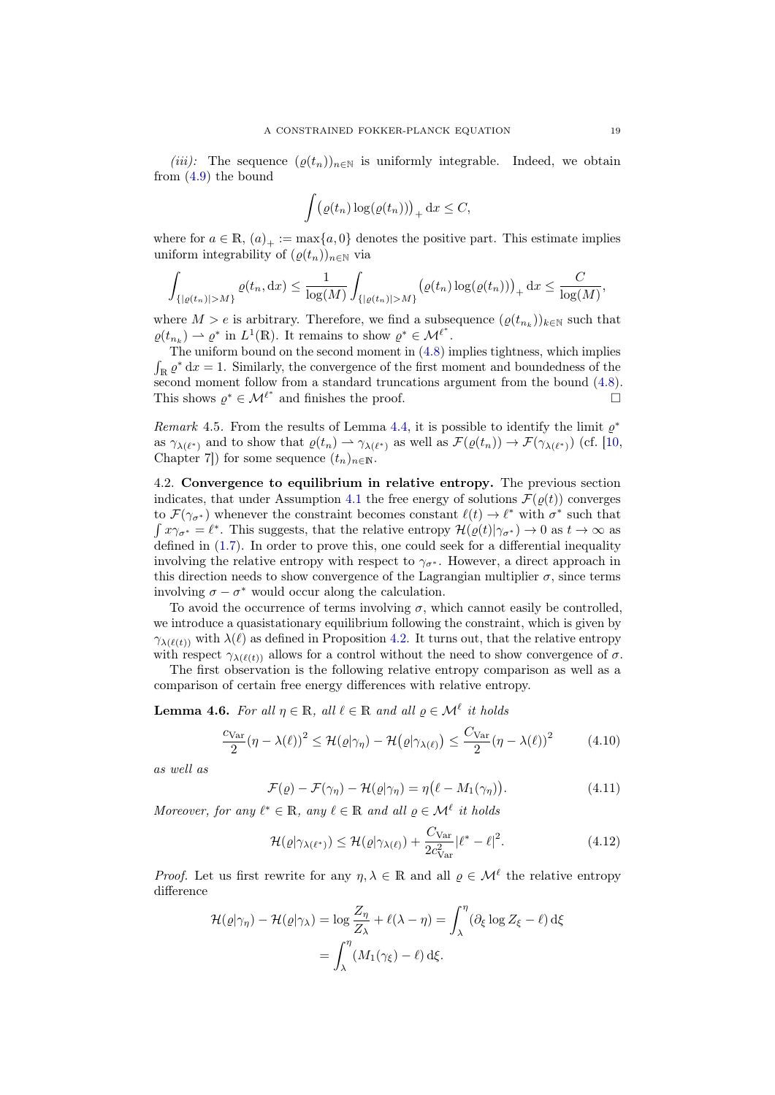(iii): The sequence  $(\varrho(t_n))_{n\in\mathbb{N}}$  is uniformly integrable. Indeed, we obtain from [\(4.9\)](#page-17-1) the bound

$$
\int (\varrho(t_n) \log(\varrho(t_n)))_+ \, \mathrm{d}x \leq C,
$$

where for  $a \in \mathbb{R}$ ,  $(a)_+ := \max\{a, 0\}$  denotes the positive part. This estimate implies uniform integrability of  $(\rho(t_n))_{n\in\mathbb{N}}$  via

$$
\int_{\{|\varrho(t_n)|>M\}} \varrho(t_n, dx) \leq \frac{1}{\log(M)} \int_{\{|\varrho(t_n)|>M\}} (\varrho(t_n) \log(\varrho(t_n)))_+ dx \leq \frac{C}{\log(M)},
$$

where  $M > e$  is arbitrary. Therefore, we find a subsequence  $(\varrho(t_{n_k}))_{k \in \mathbb{N}}$  such that  $\varrho(t_{n_k}) \rightharpoonup \varrho^*$  in  $L^1(\mathbb{R})$ . It remains to show  $\varrho^* \in \mathcal{M}^{\ell^*}$ .

The uniform bound on the second moment in [\(4.8\)](#page-17-2) implies tightness, which implies  $\int_{\mathbb{R}} \varrho^* dx = 1$ . Similarly, the convergence of the first moment and boundedness of the second moment follow from a standard truncations argument from the bound [\(4.8\)](#page-17-2). This shows  $\varrho^* \in \mathcal{M}^{\ell^*}$  and finishes the proof.

Remark 4.5. From the results of Lemma [4.4,](#page-17-0) it is possible to identify the limit  $\rho^*$ as  $\gamma_{\lambda(\ell^*)}$  and to show that  $\varrho(t_n) \to \gamma_{\lambda(\ell^*)}$  as well as  $\mathcal{F}(\varrho(t_n)) \to \mathcal{F}(\gamma_{\lambda(\ell^*)})$  (cf. [\[10,](#page-24-12) Chapter 7]) for some sequence  $(t_n)_{n\in\mathbb{N}}$ .

4.2. Convergence to equilibrium in relative entropy. The previous section indicates, that under Assumption [4.1](#page-15-4) the free energy of solutions  $\mathcal{F}(\varrho(t))$  converges to  $\mathcal{F}(\gamma_{\sigma^*})$  whenever the constraint becomes constant  $\ell(t) \to \ell^*$  with  $\sigma^*$  such that  $\int x\gamma_{\sigma^*} = \ell^*$ . This suggests, that the relative entropy  $\mathcal{H}(\varrho(t)|\gamma_{\sigma^*}) \to 0$  as  $t \to \infty$  as defined in [\(1.7\)](#page-2-5). In order to prove this, one could seek for a differential inequality involving the relative entropy with respect to  $\gamma_{\sigma^*}$ . However, a direct approach in this direction needs to show convergence of the Lagrangian multiplier  $\sigma$ , since terms involving  $\sigma - \sigma^*$  would occur along the calculation.

To avoid the occurrence of terms involving  $\sigma$ , which cannot easily be controlled, we introduce a quasistationary equilibrium following the constraint, which is given by  $\gamma_{\lambda(\ell(t))}$  with  $\lambda(\ell)$  as defined in Proposition [4.2.](#page-15-1) It turns out, that the relative entropy with respect  $\gamma_{\lambda(\ell(t))}$  allows for a control without the need to show convergence of  $\sigma$ .

The first observation is the following relative entropy comparison as well as a comparison of certain free energy differences with relative entropy.

**Lemma 4.6.** For all  $\eta \in \mathbb{R}$ , all  $\ell \in \mathbb{R}$  and all  $\varrho \in \mathcal{M}^{\ell}$  it holds

$$
\frac{c_{\text{Var}}}{2}(\eta - \lambda(\ell))^2 \le \mathcal{H}(\varrho|\gamma_\eta) - \mathcal{H}(\varrho|\gamma_{\lambda(\ell)}) \le \frac{C_{\text{Var}}}{2}(\eta - \lambda(\ell))^2 \tag{4.10}
$$

as well as

<span id="page-18-2"></span><span id="page-18-0"></span>
$$
\mathcal{F}(\varrho) - \mathcal{F}(\gamma_{\eta}) - \mathcal{H}(\varrho|\gamma_{\eta}) = \eta(\ell - M_1(\gamma_{\eta})). \tag{4.11}
$$

Moreover, for any  $\ell^* \in \mathbb{R}$ , any  $\ell \in \mathbb{R}$  and all  $\varrho \in \mathcal{M}^{\ell}$  it holds

<span id="page-18-1"></span>
$$
\mathcal{H}(\varrho|\gamma_{\lambda(\ell^*)}) \le \mathcal{H}(\varrho|\gamma_{\lambda(\ell)}) + \frac{C_{\text{Var}}}{2c_{\text{Var}}^2} |\ell^* - \ell|^2. \tag{4.12}
$$

*Proof.* Let us first rewrite for any  $\eta, \lambda \in \mathbb{R}$  and all  $\varrho \in \mathcal{M}^{\ell}$  the relative entropy difference

$$
\mathcal{H}(\varrho|\gamma_{\eta}) - \mathcal{H}(\varrho|\gamma_{\lambda}) = \log \frac{Z_{\eta}}{Z_{\lambda}} + \ell(\lambda - \eta) = \int_{\lambda}^{\eta} (\partial_{\xi} \log Z_{\xi} - \ell) d\xi
$$

$$
= \int_{\lambda}^{\eta} (M_{1}(\gamma_{\xi}) - \ell) d\xi.
$$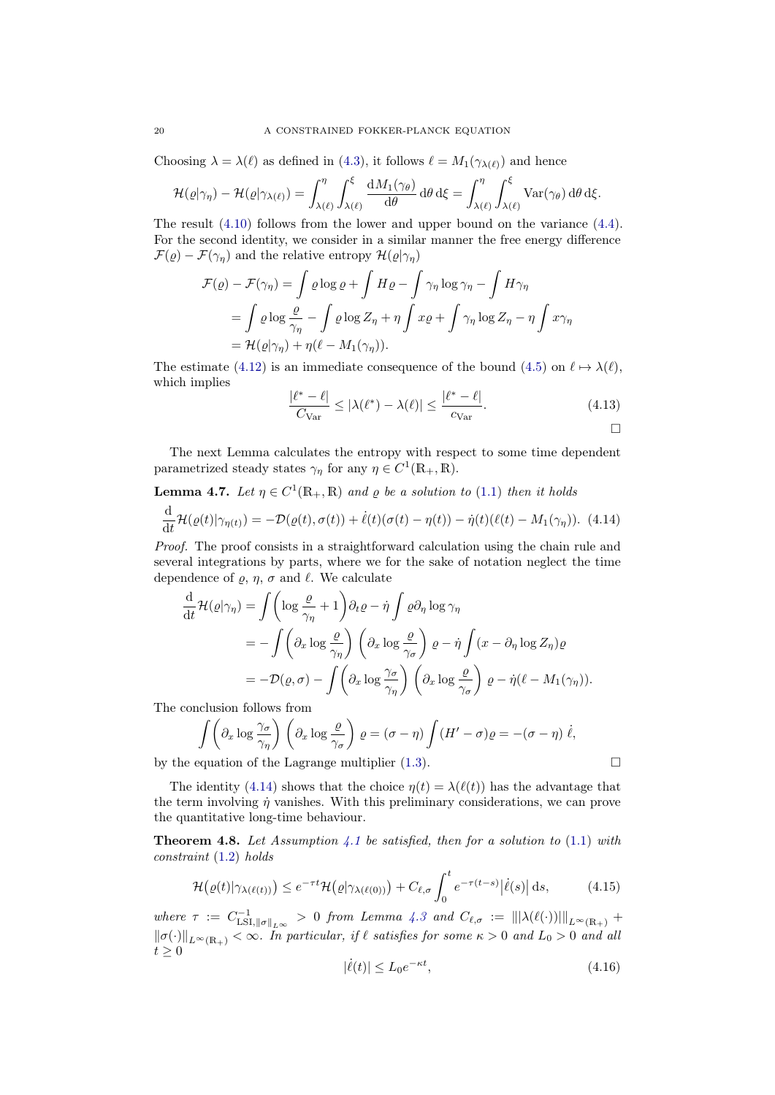Choosing  $\lambda = \lambda(\ell)$  as defined in [\(4.3\)](#page-15-6), it follows  $\ell = M_1(\gamma_{\lambda(\ell)})$  and hence

$$
\mathcal{H}(\varrho|\gamma_{\eta}) - \mathcal{H}(\varrho|\gamma_{\lambda(\ell)}) = \int_{\lambda(\ell)}^{\eta} \int_{\lambda(\ell)}^{\xi} \frac{\mathrm{d}M_1(\gamma_{\theta})}{\mathrm{d}\theta} \, \mathrm{d}\theta \, \mathrm{d}\xi = \int_{\lambda(\ell)}^{\eta} \int_{\lambda(\ell)}^{\xi} \mathrm{Var}(\gamma_{\theta}) \, \mathrm{d}\theta \, \mathrm{d}\xi.
$$

The result [\(4.10\)](#page-18-0) follows from the lower and upper bound on the variance [\(4.4\)](#page-15-5). For the second identity, we consider in a similar manner the free energy difference  $\mathcal{F}(\varrho) - \mathcal{F}(\gamma_{\eta})$  and the relative entropy  $\mathcal{H}(\varrho|\gamma_{\eta})$ 

$$
\mathcal{F}(\varrho) - \mathcal{F}(\gamma_{\eta}) = \int \varrho \log \varrho + \int H \varrho - \int \gamma_{\eta} \log \gamma_{\eta} - \int H \gamma_{\eta}
$$
  
= 
$$
\int \varrho \log \frac{\varrho}{\gamma_{\eta}} - \int \varrho \log Z_{\eta} + \eta \int x \varrho + \int \gamma_{\eta} \log Z_{\eta} - \eta \int x \gamma_{\eta}
$$
  
= 
$$
\mathcal{H}(\varrho|\gamma_{\eta}) + \eta(\ell - M_1(\gamma_{\eta})).
$$

The estimate [\(4.12\)](#page-18-1) is an immediate consequence of the bound [\(4.5\)](#page-16-1) on  $\ell \mapsto \lambda(\ell)$ , which implies

<span id="page-19-5"></span><span id="page-19-1"></span>
$$
\frac{|\ell^* - \ell|}{C_{\text{Var}}} \le |\lambda(\ell^*) - \lambda(\ell)| \le \frac{|\ell^* - \ell|}{c_{\text{Var}}}.
$$
\n(4.13)

The next Lemma calculates the entropy with respect to some time dependent parametrized steady states  $\gamma_{\eta}$  for any  $\eta \in C^{1}(\mathbb{R}_{+}, \mathbb{R})$ .

<span id="page-19-2"></span>**Lemma 4.7.** Let 
$$
\eta \in C^1(\mathbb{R}_+, \mathbb{R})
$$
 and  $\varrho$  be a solution to (1.1) then it holds  
\n
$$
\frac{d}{dt} \mathcal{H}(\varrho(t)|\gamma_{\eta(t)}) = -\mathcal{D}(\varrho(t), \sigma(t)) + \dot{\ell}(t)(\sigma(t) - \eta(t)) - \dot{\eta}(t)(\ell(t) - M_1(\gamma_{\eta})).
$$
\n(4.14)

Proof. The proof consists in a straightforward calculation using the chain rule and several integrations by parts, where we for the sake of notation neglect the time dependence of  $\varrho, \eta, \sigma$  and  $\ell$ . We calculate

$$
\frac{d}{dt} \mathcal{H}(\varrho|\gamma_{\eta}) = \int \left( \log \frac{\varrho}{\gamma_{\eta}} + 1 \right) \partial_t \varrho - \dot{\eta} \int \varrho \partial_{\eta} \log \gamma_{\eta} \n= - \int \left( \partial_x \log \frac{\varrho}{\gamma_{\eta}} \right) \left( \partial_x \log \frac{\varrho}{\gamma_{\sigma}} \right) \varrho - \dot{\eta} \int (x - \partial_{\eta} \log Z_{\eta}) \varrho \n= - \mathcal{D}(\varrho, \sigma) - \int \left( \partial_x \log \frac{\gamma_{\sigma}}{\gamma_{\eta}} \right) \left( \partial_x \log \frac{\varrho}{\gamma_{\sigma}} \right) \varrho - \dot{\eta} (\ell - M_1(\gamma_{\eta})).
$$

The conclusion follows from

$$
\int \left(\partial_x \log \frac{\gamma_\sigma}{\gamma_\eta}\right) \left(\partial_x \log \frac{\varrho}{\gamma_\sigma}\right) \varrho = (\sigma - \eta) \int (H' - \sigma) \varrho = -(\sigma - \eta) \dot{\ell},
$$

by the equation of the Lagrange multiplier  $(1.3)$ .

The identity [\(4.14\)](#page-19-1) shows that the choice  $\eta(t) = \lambda(\ell(t))$  has the advantage that the term involving  $\dot{\eta}$  vanishes. With this preliminary considerations, we can prove the quantitative long-time behaviour.

<span id="page-19-0"></span>**Theorem 4.8.** Let Assumption [4.1](#page-15-4) be satisfied, then for a solution to  $(1.1)$  with constraint [\(1.2\)](#page-0-1) holds

$$
\mathcal{H}\big(\varrho(t)|\gamma_{\lambda(\ell(t))}\big) \leq e^{-\tau t} \mathcal{H}\big(\varrho|\gamma_{\lambda(\ell(0))}\big) + C_{\ell,\sigma} \int_0^t e^{-\tau(t-s)}|\dot{\ell}(s)| \,\mathrm{d}s,\tag{4.15}
$$

where  $\tau := C^{-1}_{\text{LSI},\|\sigma\|_{L^{\infty}}} > 0$  from Lemma [4.3](#page-16-2) and  $C_{\ell,\sigma} := ||\lambda(\ell(\cdot))|||_{L^{\infty}(\mathbb{R}_+)} +$ LSI, $\|\sigma\|_{L^\infty}$  $\|\sigma(\cdot)\|_{L^{\infty}(\mathbb{R}_+)} < \infty$ . In particular, if  $\ell$  satisfies for some  $\kappa > 0$  and  $L_0 > 0$  and all  $t \geq 0$ 

<span id="page-19-4"></span><span id="page-19-3"></span>
$$
|\dot{\ell}(t)| \le L_0 e^{-\kappa t},\tag{4.16}
$$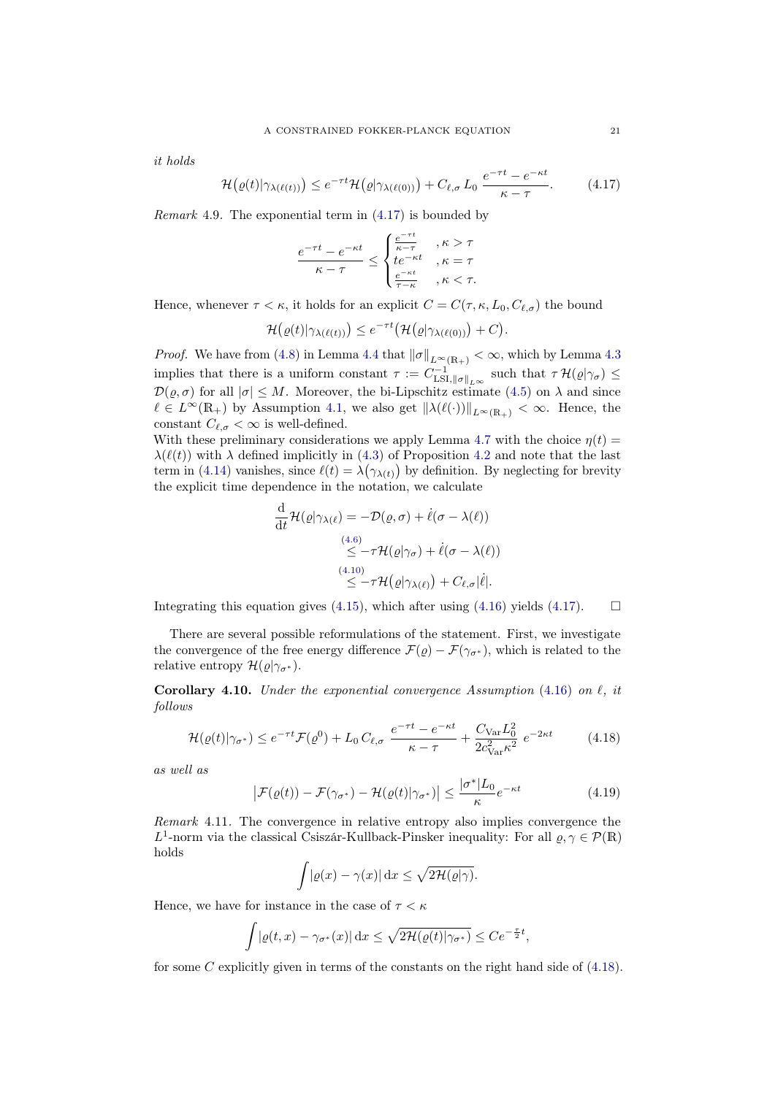it holds

$$
\mathcal{H}\big(\varrho(t)|\gamma_{\lambda(\ell(t))}\big) \leq e^{-\tau t} \mathcal{H}\big(\varrho|\gamma_{\lambda(\ell(0))}\big) + C_{\ell,\sigma} L_0 \, \frac{e^{-\tau t} - e^{-\kappa t}}{\kappa - \tau}.\tag{4.17}
$$

*Remark* 4.9. The exponential term in  $(4.17)$  is bounded by

<span id="page-20-1"></span>
$$
\frac{e^{-\tau t}-e^{-\kappa t}}{\kappa-\tau}\leq \begin{cases} \frac{e^{-\tau t}}{\kappa-\tau} & ,\kappa>\tau \\ te^{-\kappa t} & ,\kappa=\tau \\ \frac{e^{-\kappa t}}{\tau-\kappa} & ,\kappa<\tau. \end{cases}
$$

Hence, whenever  $\tau < \kappa$ , it holds for an explicit  $C = C(\tau, \kappa, L_0, C_{\ell, \sigma})$  the bound

$$
\mathcal{H}\big(\varrho(t)|\gamma_{\lambda(\ell(t))}\big)\leq e^{-\tau t}\big(\mathcal{H}\big(\varrho|\gamma_{\lambda(\ell(0))}\big)+C\big).
$$

*Proof.* We have from [\(4.8\)](#page-17-2) in Lemma [4.4](#page-17-0) that  $\|\sigma\|_{L^{\infty}(\mathbb{R}_+)} < \infty$ , which by Lemma [4.3](#page-16-2) implies that there is a uniform constant  $\tau := C^{-1}_{\text{LSI},\|\sigma\|_{L^{\infty}}}$  such that  $\tau \mathcal{H}(\varrho|\gamma_{\sigma}) \leq$  $\mathcal{D}(\rho, \sigma)$  for all  $|\sigma| \leq M$ . Moreover, the bi-Lipschitz estimate [\(4.5\)](#page-16-1) on  $\lambda$  and since  $\ell \in L^{\infty}(\mathbb{R}_+)$  by Assumption [4.1,](#page-15-4) we also get  $\|\lambda(\ell(\cdot))\|_{L^{\infty}(\mathbb{R}_+)} < \infty$ . Hence, the constant  $C_{\ell,\sigma} < \infty$  is well-defined.

With these preliminary considerations we apply Lemma [4.7](#page-19-2) with the choice  $\eta(t)$  =  $\lambda(\ell(t))$  with  $\lambda$  defined implicitly in [\(4.3\)](#page-15-6) of Proposition [4.2](#page-15-1) and note that the last term in [\(4.14\)](#page-19-1) vanishes, since  $\ell(t) = \lambda(\gamma_{\lambda(t)})$  by definition. By neglecting for brevity the explicit time dependence in the notation, we calculate

$$
\frac{\mathrm{d}}{\mathrm{d}t} \mathcal{H}(\varrho|\gamma_{\lambda(\ell)}) = -\mathcal{D}(\varrho, \sigma) + \dot{\ell}(\sigma - \lambda(\ell))
$$
\n
$$
\leq -\tau \mathcal{H}(\varrho|\gamma_{\sigma}) + \dot{\ell}(\sigma - \lambda(\ell))
$$
\n
$$
\leq -\tau \mathcal{H}(\varrho|\gamma_{\lambda(\ell)}) + C_{\ell, \sigma}|\dot{\ell}|.
$$

Integrating this equation gives [\(4.15\)](#page-19-3), which after using [\(4.16\)](#page-19-4) yields [\(4.17\)](#page-20-1).  $\Box$ 

There are several possible reformulations of the statement. First, we investigate the convergence of the free energy difference  $\mathcal{F}(\rho) - \mathcal{F}(\gamma_{\sigma^*})$ , which is related to the relative entropy  $\mathcal{H}(\rho|\gamma_{\sigma^*})$ .

<span id="page-20-0"></span>Corollary 4.10. Under the exponential convergence Assumption [\(4.16\)](#page-19-4) on  $\ell$ , it follows

$$
\mathcal{H}(\varrho(t)|\gamma_{\sigma^*}) \le e^{-\tau t} \mathcal{F}(\varrho^0) + L_0 C_{\ell, \sigma} \frac{e^{-\tau t} - e^{-\kappa t}}{\kappa - \tau} + \frac{C_{\text{Var}} L_0^2}{2c_{\text{Var}}^2 \kappa^2} e^{-2\kappa t}
$$
(4.18)

as well as

$$
\left|\mathcal{F}(\varrho(t)) - \mathcal{F}(\gamma_{\sigma^*}) - \mathcal{H}(\varrho(t)|\gamma_{\sigma^*})\right| \le \frac{|\sigma^*|L_0}{\kappa} e^{-\kappa t}
$$
\n(4.19)

Remark 4.11. The convergence in relative entropy also implies convergence the L<sup>1</sup>-norm via the classical Csiszár-Kullback-Pinsker inequality: For all  $\rho, \gamma \in \mathcal{P}(\mathbb{R})$ holds

<span id="page-20-3"></span><span id="page-20-2"></span>
$$
\int |\varrho(x) - \gamma(x)| \, \mathrm{d}x \le \sqrt{2\mathcal{H}(\varrho|\gamma)}.
$$

Hence, we have for instance in the case of  $\tau < \kappa$ 

$$
\int |\varrho(t,x) - \gamma_{\sigma^*}(x)| \,dx \le \sqrt{2\mathcal{H}(\varrho(t)|\gamma_{\sigma^*})} \le Ce^{-\frac{\tau}{2}t},
$$

for some  $C$  explicitly given in terms of the constants on the right hand side of  $(4.18)$ .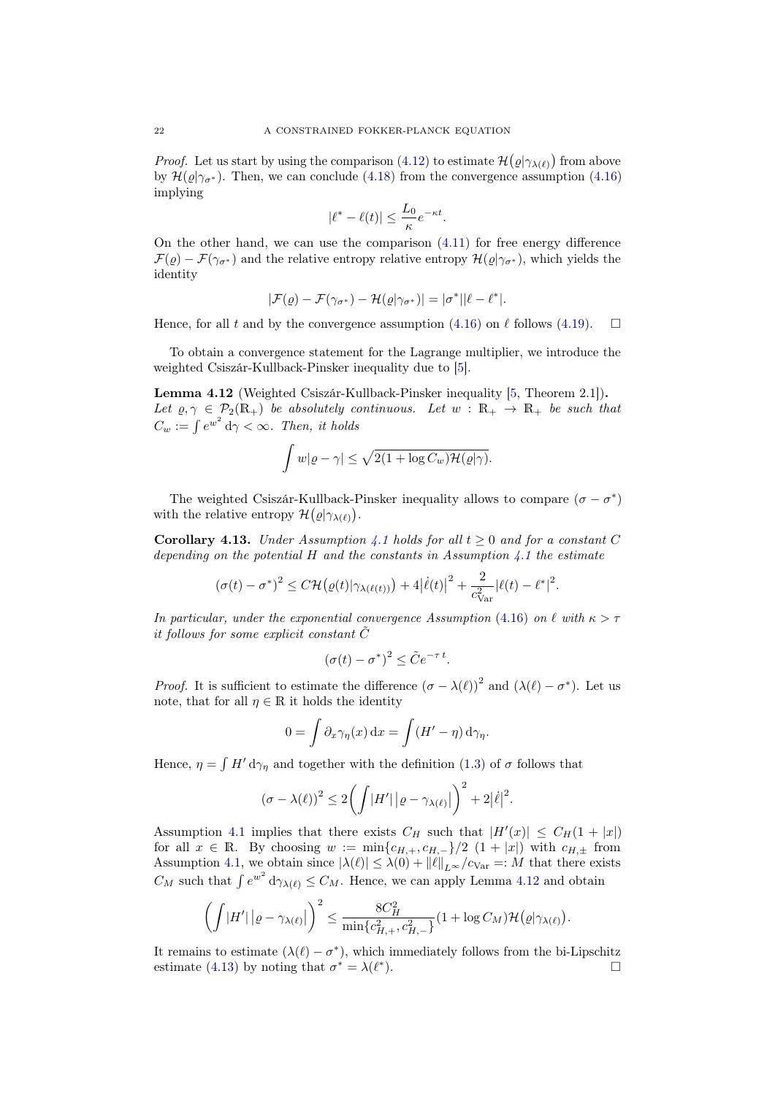*Proof.* Let us start by using the comparison [\(4.12\)](#page-18-1) to estimate  $\mathcal{H}(\varrho|\gamma_{\lambda(\ell)})$  from above by  $\mathcal{H}(\varrho|\gamma_{\sigma^*})$ . Then, we can conclude [\(4.18\)](#page-20-2) from the convergence assumption [\(4.16\)](#page-19-4) implying

$$
|\ell^* - \ell(t)| \leq \frac{L_0}{\kappa} e^{-\kappa t}.
$$

On the other hand, we can use the comparison [\(4.11\)](#page-18-2) for free energy difference  $\mathcal{F}(\varrho) - \mathcal{F}(\gamma_{\sigma^*})$  and the relative entropy relative entropy  $\mathcal{H}(\varrho|\gamma_{\sigma^*})$ , which yields the identity

$$
|\mathcal{F}(\varrho)-\mathcal{F}(\gamma_{\sigma^*})-\mathcal{H}(\varrho|\gamma_{\sigma^*})|=|\sigma^*||\ell-\ell^*|.
$$

Hence, for all t and by the convergence assumption [\(4.16\)](#page-19-4) on  $\ell$  follows [\(4.19\)](#page-20-3).  $\Box$ 

To obtain a convergence statement for the Lagrange multiplier, we introduce the weighted Csiszár-Kullback-Pinsker inequality due to [\[5\]](#page-24-16).

<span id="page-21-1"></span>Lemma 4.12 (Weighted Csiszár-Kullback-Pinsker inequality [\[5,](#page-24-16) Theorem 2.1]). Let  $\varrho, \gamma \in \mathcal{P}_2(\mathbb{R}_+)$  be absolutely continuous. Let  $w : \mathbb{R}_+ \to \mathbb{R}_+$  be such that  $C_w := \int e^{w^2} d\gamma < \infty$ . Then, it holds

$$
\int w|\varrho - \gamma| \le \sqrt{2(1 + \log C_w)\mathcal{H}(\varrho|\gamma)}.
$$

The weighted Csiszár-Kullback-Pinsker inequality allows to compare  $(\sigma - \sigma^*)$ with the relative entropy  $\mathcal{H}(\varrho|\gamma_{\lambda(\ell)}).$ 

<span id="page-21-0"></span>**Corollary [4.1](#page-15-4)3.** Under Assumption 4.1 holds for all  $t > 0$  and for a constant C depending on the potential  $H$  and the constants in Assumption [4.1](#page-15-4) the estimate

$$
(\sigma(t) - \sigma^*)^2 \leq C \mathcal{H}(\varrho(t)|\gamma_{\lambda(\ell(t))}) + 4|\dot{\ell}(t)|^2 + \frac{2}{c_{\rm Var}^2}|\ell(t) - \ell^*|^2.
$$

In particular, under the exponential convergence Assumption [\(4.16\)](#page-19-4) on  $\ell$  with  $\kappa > \tau$ it follows for some explicit constant  $\ddot{C}$ 

$$
(\sigma(t) - \sigma^*)^2 \le \tilde{C} e^{-\tau t}.
$$

*Proof.* It is sufficient to estimate the difference  $(\sigma - \lambda(\ell))^2$  and  $(\lambda(\ell) - \sigma^*)$ . Let us note, that for all  $\eta \in \mathbb{R}$  it holds the identity

$$
0 = \int \partial_x \gamma_\eta(x) dx = \int (H' - \eta) d\gamma_\eta.
$$

Hence,  $\eta = \int H' d\gamma_{\eta}$  and together with the definition [\(1.3\)](#page-0-2) of  $\sigma$  follows that

$$
(\sigma - \lambda(\ell))^2 \le 2\left(\int |H'| \left|\varrho - \gamma_{\lambda(\ell)}\right|\right)^2 + 2|\dot{\ell}|^2.
$$

Assumption [4.1](#page-15-4) implies that there exists  $C_H$  such that  $|H'(x)| \leq C_H(1+|x|)$ for all  $x \in \mathbb{R}$ . By choosing  $w := \min\{c_{H,+}, c_{H,-}\}/2 \ (1 + |x|)$  with  $c_{H,+}$  from Assumption [4.1,](#page-15-4) we obtain since  $|\lambda(\ell)| \leq \lambda(0) + ||\ell||_{L^{\infty}}/c_{\text{Var}} =: M$  that there exists  $C_M$  such that  $\int e^{w^2} d\gamma_{\lambda(\ell)} \leq C_M$ . Hence, we can apply Lemma [4.12](#page-21-1) and obtain

$$
\left(\int \left|H'\right|\left|\varrho-\gamma_{\lambda(\ell)}\right|\right)^2 \leq \frac{8C_H^2}{\min\{c_{H,+}^2,c_{H,-}^2\}}(1+\log C_M)\mathcal{H}\big(\varrho|\gamma_{\lambda(\ell)}\big).
$$

It remains to estimate  $(\lambda(\ell) - \sigma^*)$ , which immediately follows from the bi-Lipschitz estimate [\(4.13\)](#page-19-5) by noting that  $\sigma^* = \lambda(\ell^*$  $\Box$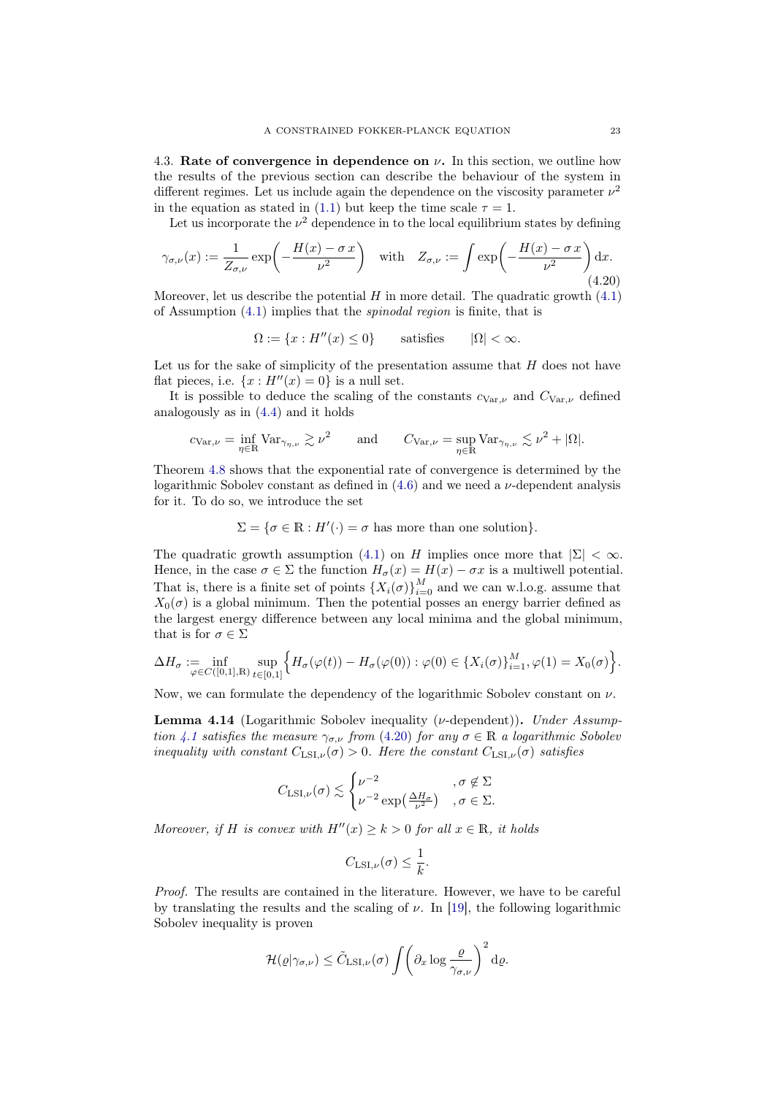<span id="page-22-0"></span>4.3. Rate of convergence in dependence on  $\nu$ . In this section, we outline how the results of the previous section can describe the behaviour of the system in different regimes. Let us include again the dependence on the viscosity parameter  $\nu^2$ in the equation as stated in [\(1.1\)](#page-0-0) but keep the time scale  $\tau = 1$ .

Let us incorporate the  $\nu^2$  dependence in to the local equilibrium states by defining

$$
\gamma_{\sigma,\nu}(x) := \frac{1}{Z_{\sigma,\nu}} \exp\left(-\frac{H(x) - \sigma x}{\nu^2}\right) \quad \text{with} \quad Z_{\sigma,\nu} := \int \exp\left(-\frac{H(x) - \sigma x}{\nu^2}\right) dx. \tag{4.20}
$$

Moreover, let us describe the potential  $H$  in more detail. The quadratic growth  $(4.1)$ of Assumption [\(4.1\)](#page-15-4) implies that the spinodal region is finite, that is

<span id="page-22-1"></span> $\Omega := \{x : H''(x) \leq 0\}$  satisfies  $|\Omega| < \infty$ .

Let us for the sake of simplicity of the presentation assume that  $H$  does not have flat pieces, i.e.  $\{x : H''(x) = 0\}$  is a null set.

It is possible to deduce the scaling of the constants  $c_{\text{Var},\nu}$  and  $C_{\text{Var},\nu}$  defined analogously as in [\(4.4\)](#page-15-5) and it holds

$$
c_{\text{Var},\nu} = \inf_{\eta \in \mathbb{R}} \text{Var}_{\gamma_{\eta,\nu}} \gtrsim \nu^2 \quad \text{and} \quad C_{\text{Var},\nu} = \sup_{\eta \in \mathbb{R}} \text{Var}_{\gamma_{\eta,\nu}} \lesssim \nu^2 + |\Omega|.
$$

Theorem [4.8](#page-19-0) shows that the exponential rate of convergence is determined by the logarithmic Sobolev constant as defined in  $(4.6)$  and we need a  $\nu$ -dependent analysis for it. To do so, we introduce the set

 $\Sigma = \{ \sigma \in \mathbb{R} : H'(\cdot) = \sigma \text{ has more than one solution} \}.$ 

The quadratic growth assumption [\(4.1\)](#page-15-2) on H implies once more that  $|\Sigma| < \infty$ . Hence, in the case  $\sigma \in \Sigma$  the function  $H_{\sigma}(x) = H(x) - \sigma x$  is a multiwell potential. That is, there is a finite set of points  $\{X_i(\sigma)\}_{i=0}^M$  and we can w.l.o.g. assume that  $X_0(\sigma)$  is a global minimum. Then the potential posses an energy barrier defined as the largest energy difference between any local minima and the global minimum, that is for  $\sigma \in \Sigma$ 

$$
\Delta H_{\sigma} := \inf_{\varphi \in C([0,1],\mathbb{R})} \sup_{t \in [0,1]} \Big\{ H_{\sigma}(\varphi(t)) - H_{\sigma}(\varphi(0)) : \varphi(0) \in \{X_i(\sigma)\}_{i=1}^M, \varphi(1) = X_0(\sigma) \Big\}.
$$

Now, we can formulate the dependency of the logarithmic Sobolev constant on  $\nu$ .

<span id="page-22-2"></span>**Lemma 4.14** (Logarithmic Sobolev inequality ( $\nu$ -dependent)). Under Assump-tion [4.1](#page-15-4) satisfies the measure  $\gamma_{\sigma,\nu}$  from [\(4.20\)](#page-22-1) for any  $\sigma \in \mathbb{R}$  a logarithmic Sobolev inequality with constant  $C_{LSI,\nu}(\sigma) > 0$ . Here the constant  $C_{LSI,\nu}(\sigma)$  satisfies

$$
C_{\text{LSI},\nu}(\sigma) \lesssim \begin{cases} \nu^{-2} & , \sigma \notin \Sigma \\ \nu^{-2} \exp\left(\frac{\Delta H_{\sigma}}{\nu^2}\right) & , \sigma \in \Sigma. \end{cases}
$$

Moreover, if H is convex with  $H''(x) \geq k > 0$  for all  $x \in \mathbb{R}$ , it holds

$$
C_{\mathrm{LSI},\nu}(\sigma) \leq \frac{1}{k}.
$$

Proof. The results are contained in the literature. However, we have to be careful by translating the results and the scaling of  $\nu$ . In [\[19\]](#page-24-15), the following logarithmic Sobolev inequality is proven

$$
\mathcal{H}(\varrho|\gamma_{\sigma,\nu}) \leq \tilde{C}_{\mathrm{LSI},\nu}(\sigma) \int \left(\partial_x \log \frac{\varrho}{\gamma_{\sigma,\nu}}\right)^2 \mathrm{d}\varrho.
$$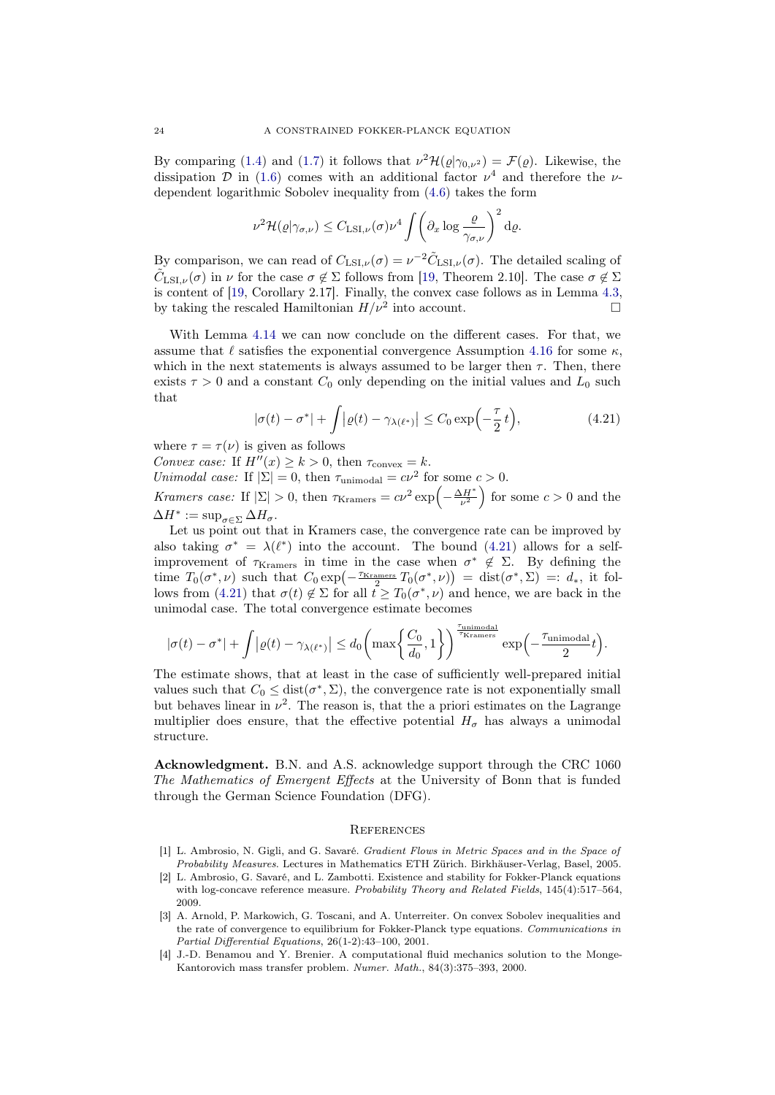By comparing [\(1.4\)](#page-1-1) and [\(1.7\)](#page-2-5) it follows that  $\nu^2 \mathcal{H}(\varrho|\gamma_{0,\nu^2}) = \mathcal{F}(\varrho)$ . Likewise, the dissipation D in [\(1.6\)](#page-1-2) comes with an additional factor  $\nu^4$  and therefore the  $\nu$ dependent logarithmic Sobolev inequality from [\(4.6\)](#page-16-3) takes the form

$$
\nu^2 \mathcal{H}(\varrho|\gamma_{\sigma,\nu}) \leq C_{\mathrm{LSI},\nu}(\sigma) \nu^4 \int \left(\partial_x \log \frac{\varrho}{\gamma_{\sigma,\nu}}\right)^2 \mathrm{d}\varrho.
$$

By comparison, we can read of  $C_{LSI,\nu}(\sigma) = \nu^{-2} \tilde{C}_{LSI,\nu}(\sigma)$ . The detailed scaling of  $\tilde{C}_{\mathrm{LSI},\nu}(\sigma)$  in  $\nu$  for the case  $\sigma \notin \Sigma$  follows from [\[19,](#page-24-15) Theorem 2.10]. The case  $\sigma \notin \Sigma$ is content of  $[19, Corollary 2.17]$  $[19, Corollary 2.17]$ . Finally, the convex case follows as in Lemma [4.3,](#page-16-2) by taking the rescaled Hamiltonian  $H/\nu^2$  into account.

With Lemma [4.14](#page-22-2) we can now conclude on the different cases. For that, we assume that  $\ell$  satisfies the exponential convergence Assumption [4.16](#page-19-4) for some  $\kappa$ , which in the next statements is always assumed to be larger then  $\tau$ . Then, there exists  $\tau > 0$  and a constant  $C_0$  only depending on the initial values and  $L_0$  such that

<span id="page-23-4"></span>
$$
|\sigma(t) - \sigma^*| + \int |\varrho(t) - \gamma_{\lambda(\ell^*)}| \le C_0 \exp\left(-\frac{\tau}{2} t\right),\tag{4.21}
$$

where  $\tau = \tau(\nu)$  is given as follows

Convex case: If  $H''(x) \ge k > 0$ , then  $\tau_{\text{convex}} = k$ .

Unimodal case: If  $|\Sigma| = 0$ , then  $\tau_{\text{unimodal}} = c\nu^2$  for some  $c > 0$ .

Kramers case: If  $|\Sigma| > 0$ , then  $\tau_{\text{Kramers}} = c\nu^2 \exp\left(-\frac{\Delta H^*}{\nu^2}\right)$  for some  $c > 0$  and the  $\Delta H^* := \sup_{\sigma \in \Sigma} \Delta H_{\sigma}.$ 

Let us point out that in Kramers case, the convergence rate can be improved by also taking  $\sigma^* = \lambda(\ell^*)$  into the account. The bound [\(4.21\)](#page-23-4) allows for a selfimprovement of  $\tau_{\text{Kramers}}$  in time in the case when  $\sigma^* \notin \Sigma$ . By defining the time  $T_0(\sigma^*, \nu)$  such that  $C_0 \exp\left(-\frac{\tau_{\text{Kramers}}}{2} T_0(\sigma^*, \nu)\right) = \text{dist}(\sigma^*, \Sigma) =: d_*$ , it fol-lows from [\(4.21\)](#page-23-4) that  $\sigma(t) \notin \Sigma$  for all  $t \geq T_0(\sigma^*, \nu)$  and hence, we are back in the unimodal case. The total convergence estimate becomes

$$
|\sigma(t)-\sigma^*|+\int\bigl|\varrho(t)-\gamma_{\lambda(\ell^*)}\bigr|\leq d_0\biggl(\max\biggl\{\frac{C_0}{d_0},1\biggr\}\biggr)^{\frac{\tau_{\text{unimodal}}}{\tau_{\text{Kramers}}}}\exp\Bigl(-\frac{\tau_{\text{unimodal}}}{2}t\Bigr).
$$

The estimate shows, that at least in the case of sufficiently well-prepared initial values such that  $C_0 \leq \text{dist}(\sigma^*, \Sigma)$ , the convergence rate is not exponentially small but behaves linear in  $\nu^2$ . The reason is, that the a priori estimates on the Lagrange multiplier does ensure, that the effective potential  $H_{\sigma}$  has always a unimodal structure.

Acknowledgment. B.N. and A.S. acknowledge support through the CRC 1060 The Mathematics of Emergent Effects at the University of Bonn that is funded through the German Science Foundation (DFG).

## **REFERENCES**

- <span id="page-23-2"></span>[1] L. Ambrosio, N. Gigli, and G. Savaré. Gradient Flows in Metric Spaces and in the Space of Probability Measures. Lectures in Mathematics ETH Zürich. Birkhäuser-Verlag, Basel, 2005.
- <span id="page-23-0"></span>[2] L. Ambrosio, G. Savaré, and L. Zambotti. Existence and stability for Fokker-Planck equations with log-concave reference measure. Probability Theory and Related Fields, 145(4):517-564, 2009.
- <span id="page-23-3"></span>[3] A. Arnold, P. Markowich, G. Toscani, and A. Unterreiter. On convex Sobolev inequalities and the rate of convergence to equilibrium for Fokker-Planck type equations. Communications in Partial Differential Equations, 26(1-2):43–100, 2001.
- <span id="page-23-1"></span>[4] J.-D. Benamou and Y. Brenier. A computational fluid mechanics solution to the Monge-Kantorovich mass transfer problem. Numer. Math., 84(3):375–393, 2000.